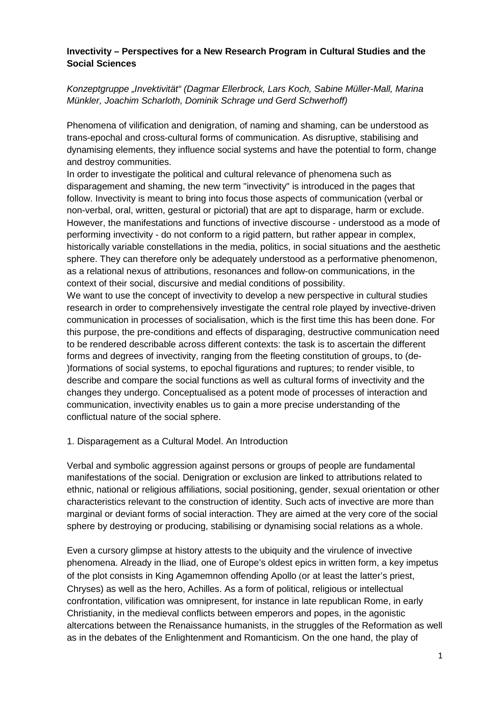## **Invectivity – Perspectives for a New Research Program in Cultural Studies and the Social Sciences**

# *Konzeptgruppe "Invektivität" (Dagmar Ellerbrock, Lars Koch, Sabine Müller-Mall, Marina Münkler, Joachim Scharloth, Dominik Schrage und Gerd Schwerhoff)*

Phenomena of vilification and denigration, of naming and shaming, can be understood as trans-epochal and cross-cultural forms of communication. As disruptive, stabilising and dynamising elements, they influence social systems and have the potential to form, change and destroy communities.

In order to investigate the political and cultural relevance of phenomena such as disparagement and shaming, the new term "invectivity" is introduced in the pages that follow. Invectivity is meant to bring into focus those aspects of communication (verbal or non-verbal, oral, written, gestural or pictorial) that are apt to disparage, harm or exclude. However, the manifestations and functions of invective discourse - understood as a mode of performing invectivity - do not conform to a rigid pattern, but rather appear in complex, historically variable constellations in the media, politics, in social situations and the aesthetic sphere. They can therefore only be adequately understood as a performative phenomenon, as a relational nexus of attributions, resonances and follow-on communications, in the context of their social, discursive and medial conditions of possibility.

We want to use the concept of invectivity to develop a new perspective in cultural studies research in order to comprehensively investigate the central role played by invective-driven communication in processes of socialisation, which is the first time this has been done. For this purpose, the pre-conditions and effects of disparaging, destructive communication need to be rendered describable across different contexts: the task is to ascertain the different forms and degrees of invectivity, ranging from the fleeting constitution of groups, to (de- )formations of social systems, to epochal figurations and ruptures; to render visible, to describe and compare the social functions as well as cultural forms of invectivity and the changes they undergo. Conceptualised as a potent mode of processes of interaction and communication, invectivity enables us to gain a more precise understanding of the conflictual nature of the social sphere.

#### 1. Disparagement as a Cultural Model. An Introduction

Verbal and symbolic aggression against persons or groups of people are fundamental manifestations of the social. Denigration or exclusion are linked to attributions related to ethnic, national or religious affiliations, social positioning, gender, sexual orientation or other characteristics relevant to the construction of identity. Such acts of invective are more than marginal or deviant forms of social interaction. They are aimed at the very core of the social sphere by destroying or producing, stabilising or dynamising social relations as a whole.

Even a cursory glimpse at history attests to the ubiquity and the virulence of invective phenomena. Already in the Iliad, one of Europe's oldest epics in written form, a key impetus of the plot consists in King Agamemnon offending Apollo (or at least the latter's priest, Chryses) as well as the hero, Achilles. As a form of political, religious or intellectual confrontation, vilification was omnipresent, for instance in late republican Rome, in early Christianity, in the medieval conflicts between emperors and popes, in the agonistic altercations between the Renaissance humanists, in the struggles of the Reformation as well as in the debates of the Enlightenment and Romanticism. On the one hand, the play of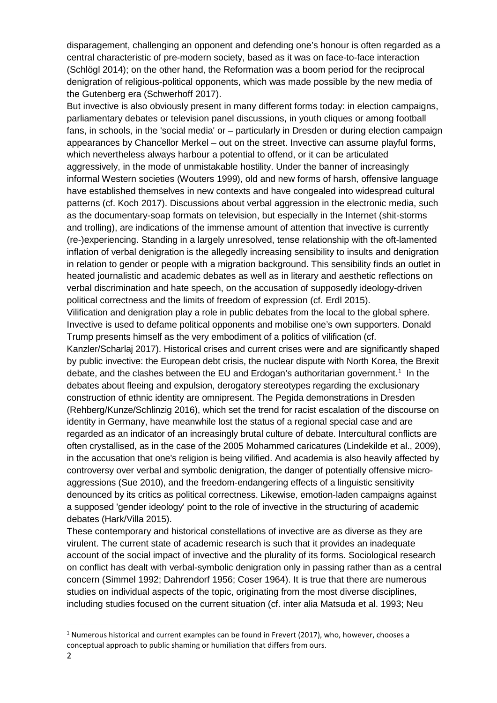disparagement, challenging an opponent and defending one's honour is often regarded as a central characteristic of pre-modern society, based as it was on face-to-face interaction (Schlögl 2014); on the other hand, the Reformation was a boom period for the reciprocal denigration of religious-political opponents, which was made possible by the new media of the Gutenberg era (Schwerhoff 2017).

But invective is also obviously present in many different forms today: in election campaigns, parliamentary debates or television panel discussions, in youth cliques or among football fans, in schools, in the 'social media' or – particularly in Dresden or during election campaign appearances by Chancellor Merkel – out on the street. Invective can assume playful forms, which nevertheless always harbour a potential to offend, or it can be articulated aggressively, in the mode of unmistakable hostility. Under the banner of increasingly informal Western societies (Wouters 1999), old and new forms of harsh, offensive language have established themselves in new contexts and have congealed into widespread cultural patterns (cf. Koch 2017). Discussions about verbal aggression in the electronic media, such as the documentary-soap formats on television, but especially in the Internet (shit-storms and trolling), are indications of the immense amount of attention that invective is currently (re-)experiencing. Standing in a largely unresolved, tense relationship with the oft-lamented inflation of verbal denigration is the allegedly increasing sensibility to insults and denigration in relation to gender or people with a migration background. This sensibility finds an outlet in heated journalistic and academic debates as well as in literary and aesthetic reflections on verbal discrimination and hate speech, on the accusation of supposedly ideology-driven political correctness and the limits of freedom of expression (cf. Erdl 2015).

Vilification and denigration play a role in public debates from the local to the global sphere. Invective is used to defame political opponents and mobilise one's own supporters. Donald Trump presents himself as the very embodiment of a politics of vilification (cf.

Kanzler/Scharlaj 2017). Historical crises and current crises were and are significantly shaped by public invective: the European debt crisis, the nuclear dispute with North Korea, the Brexit debate, and the clashes between the EU and Erdogan's authoritarian government. [1](#page-1-0) In the debates about fleeing and expulsion, derogatory stereotypes regarding the exclusionary construction of ethnic identity are omnipresent. The Pegida demonstrations in Dresden (Rehberg/Kunze/Schlinzig 2016), which set the trend for racist escalation of the discourse on identity in Germany, have meanwhile lost the status of a regional special case and are regarded as an indicator of an increasingly brutal culture of debate. Intercultural conflicts are often crystallised, as in the case of the 2005 Mohammed caricatures (Lindekilde et al., 2009), in the accusation that one's religion is being vilified. And academia is also heavily affected by controversy over verbal and symbolic denigration, the danger of potentially offensive microaggressions (Sue 2010), and the freedom-endangering effects of a linguistic sensitivity denounced by its critics as political correctness. Likewise, emotion-laden campaigns against a supposed 'gender ideology' point to the role of invective in the structuring of academic debates (Hark/Villa 2015).

These contemporary and historical constellations of invective are as diverse as they are virulent. The current state of academic research is such that it provides an inadequate account of the social impact of invective and the plurality of its forms. Sociological research on conflict has dealt with verbal-symbolic denigration only in passing rather than as a central concern (Simmel 1992; Dahrendorf 1956; Coser 1964). It is true that there are numerous studies on individual aspects of the topic, originating from the most diverse disciplines, including studies focused on the current situation (cf. inter alia Matsuda et al. 1993; Neu

<span id="page-1-0"></span> $1$  Numerous historical and current examples can be found in Frevert (2017), who, however, chooses a conceptual approach to public shaming or humiliation that differs from ours.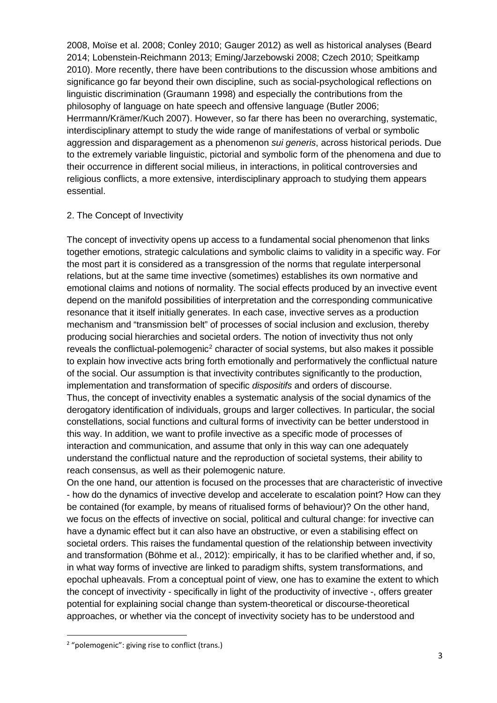2008, Moïse et al. 2008; Conley 2010; Gauger 2012) as well as historical analyses (Beard 2014; Lobenstein-Reichmann 2013; Eming/Jarzebowski 2008; Czech 2010; Speitkamp 2010). More recently, there have been contributions to the discussion whose ambitions and significance go far beyond their own discipline, such as social-psychological reflections on linguistic discrimination (Graumann 1998) and especially the contributions from the philosophy of language on hate speech and offensive language (Butler 2006; Herrmann/Krämer/Kuch 2007). However, so far there has been no overarching, systematic, interdisciplinary attempt to study the wide range of manifestations of verbal or symbolic aggression and disparagement as a phenomenon *sui generis*, across historical periods. Due to the extremely variable linguistic, pictorial and symbolic form of the phenomena and due to their occurrence in different social milieus, in interactions, in political controversies and religious conflicts, a more extensive, interdisciplinary approach to studying them appears essential.

### 2. The Concept of Invectivity

The concept of invectivity opens up access to a fundamental social phenomenon that links together emotions, strategic calculations and symbolic claims to validity in a specific way. For the most part it is considered as a transgression of the norms that regulate interpersonal relations, but at the same time invective (sometimes) establishes its own normative and emotional claims and notions of normality. The social effects produced by an invective event depend on the manifold possibilities of interpretation and the corresponding communicative resonance that it itself initially generates. In each case, invective serves as a production mechanism and "transmission belt" of processes of social inclusion and exclusion, thereby producing social hierarchies and societal orders. The notion of invectivity thus not only reveals the conflictual-polemogenic<sup>[2](#page-2-0)</sup> character of social systems, but also makes it possible to explain how invective acts bring forth emotionally and performatively the conflictual nature of the social. Our assumption is that invectivity contributes significantly to the production, implementation and transformation of specific *dispositifs* and orders of discourse. Thus, the concept of invectivity enables a systematic analysis of the social dynamics of the derogatory identification of individuals, groups and larger collectives. In particular, the social constellations, social functions and cultural forms of invectivity can be better understood in this way. In addition, we want to profile invective as a specific mode of processes of interaction and communication, and assume that only in this way can one adequately understand the conflictual nature and the reproduction of societal systems, their ability to reach consensus, as well as their polemogenic nature.

On the one hand, our attention is focused on the processes that are characteristic of invective - how do the dynamics of invective develop and accelerate to escalation point? How can they be contained (for example, by means of ritualised forms of behaviour)? On the other hand, we focus on the effects of invective on social, political and cultural change: for invective can have a dynamic effect but it can also have an obstructive, or even a stabilising effect on societal orders. This raises the fundamental question of the relationship between invectivity and transformation (Böhme et al., 2012): empirically, it has to be clarified whether and, if so, in what way forms of invective are linked to paradigm shifts, system transformations, and epochal upheavals. From a conceptual point of view, one has to examine the extent to which the concept of invectivity - specifically in light of the productivity of invective -, offers greater potential for explaining social change than system-theoretical or discourse-theoretical approaches, or whether via the concept of invectivity society has to be understood and

<span id="page-2-0"></span><sup>&</sup>lt;sup>2</sup> "polemogenic": giving rise to conflict (trans.)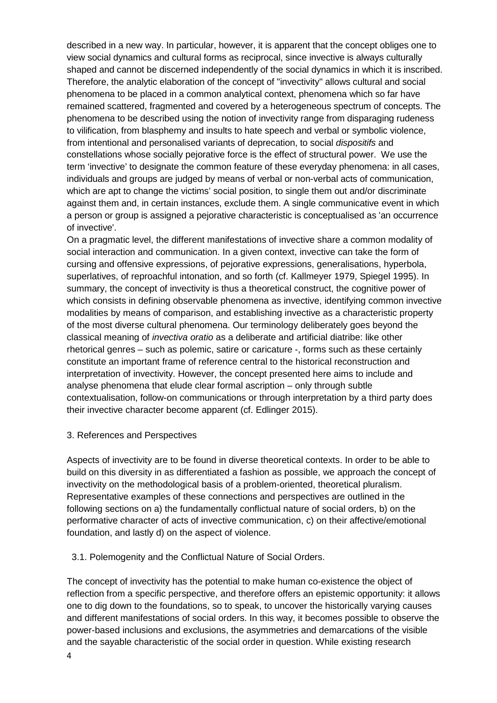described in a new way. In particular, however, it is apparent that the concept obliges one to view social dynamics and cultural forms as reciprocal, since invective is always culturally shaped and cannot be discerned independently of the social dynamics in which it is inscribed. Therefore, the analytic elaboration of the concept of "invectivity" allows cultural and social phenomena to be placed in a common analytical context, phenomena which so far have remained scattered, fragmented and covered by a heterogeneous spectrum of concepts. The phenomena to be described using the notion of invectivity range from disparaging rudeness to vilification, from blasphemy and insults to hate speech and verbal or symbolic violence, from intentional and personalised variants of deprecation, to social *dispositifs* and constellations whose socially pejorative force is the effect of structural power. We use the term 'invective' to designate the common feature of these everyday phenomena: in all cases, individuals and groups are judged by means of verbal or non-verbal acts of communication, which are apt to change the victims' social position, to single them out and/or discriminate against them and, in certain instances, exclude them. A single communicative event in which a person or group is assigned a pejorative characteristic is conceptualised as 'an occurrence of invective'.

On a pragmatic level, the different manifestations of invective share a common modality of social interaction and communication. In a given context, invective can take the form of cursing and offensive expressions, of pejorative expressions, generalisations, hyperbola, superlatives, of reproachful intonation, and so forth (cf. Kallmeyer 1979, Spiegel 1995). In summary, the concept of invectivity is thus a theoretical construct, the cognitive power of which consists in defining observable phenomena as invective, identifying common invective modalities by means of comparison, and establishing invective as a characteristic property of the most diverse cultural phenomena. Our terminology deliberately goes beyond the classical meaning of *invectiva oratio* as a deliberate and artificial diatribe: like other rhetorical genres – such as polemic, satire or caricature -, forms such as these certainly constitute an important frame of reference central to the historical reconstruction and interpretation of invectivity. However, the concept presented here aims to include and analyse phenomena that elude clear formal ascription – only through subtle contextualisation, follow-on communications or through interpretation by a third party does their invective character become apparent (cf. Edlinger 2015).

#### 3. References and Perspectives

Aspects of invectivity are to be found in diverse theoretical contexts. In order to be able to build on this diversity in as differentiated a fashion as possible, we approach the concept of invectivity on the methodological basis of a problem-oriented, theoretical pluralism. Representative examples of these connections and perspectives are outlined in the following sections on a) the fundamentally conflictual nature of social orders, b) on the performative character of acts of invective communication, c) on their affective/emotional foundation, and lastly d) on the aspect of violence.

3.1. Polemogenity and the Conflictual Nature of Social Orders.

The concept of invectivity has the potential to make human co-existence the object of reflection from a specific perspective, and therefore offers an epistemic opportunity: it allows one to dig down to the foundations, so to speak, to uncover the historically varying causes and different manifestations of social orders. In this way, it becomes possible to observe the power-based inclusions and exclusions, the asymmetries and demarcations of the visible and the sayable characteristic of the social order in question. While existing research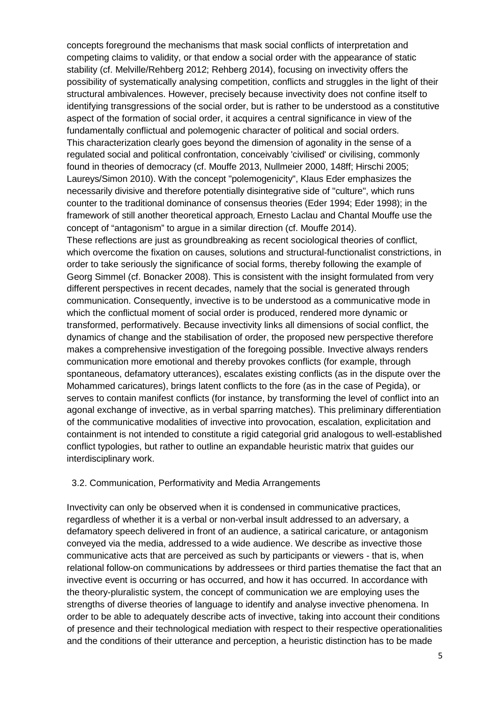concepts foreground the mechanisms that mask social conflicts of interpretation and competing claims to validity, or that endow a social order with the appearance of static stability (cf. Melville/Rehberg 2012; Rehberg 2014), focusing on invectivity offers the possibility of systematically analysing competition, conflicts and struggles in the light of their structural ambivalences. However, precisely because invectivity does not confine itself to identifying transgressions of the social order, but is rather to be understood as a constitutive aspect of the formation of social order, it acquires a central significance in view of the fundamentally conflictual and polemogenic character of political and social orders. This characterization clearly goes beyond the dimension of agonality in the sense of a regulated social and political confrontation, conceivably 'civilised' or civilising, commonly found in theories of democracy (cf. Mouffe 2013, Nullmeier 2000, 148ff; Hirschi 2005; Laureys/Simon 2010). With the concept "polemogenicity", Klaus Eder emphasizes the necessarily divisive and therefore potentially disintegrative side of "culture", which runs counter to the traditional dominance of consensus theories (Eder 1994; Eder 1998); in the framework of still another theoretical approach, Ernesto Laclau and Chantal Mouffe use the concept of "antagonism" to argue in a similar direction (cf. Mouffe 2014).

These reflections are just as groundbreaking as recent sociological theories of conflict, which overcome the fixation on causes, solutions and structural-functionalist constrictions, in order to take seriously the significance of social forms, thereby following the example of Georg Simmel (cf. Bonacker 2008). This is consistent with the insight formulated from very different perspectives in recent decades, namely that the social is generated through communication. Consequently, invective is to be understood as a communicative mode in which the conflictual moment of social order is produced, rendered more dynamic or transformed, performatively. Because invectivity links all dimensions of social conflict, the dynamics of change and the stabilisation of order, the proposed new perspective therefore makes a comprehensive investigation of the foregoing possible. Invective always renders communication more emotional and thereby provokes conflicts (for example, through spontaneous, defamatory utterances), escalates existing conflicts (as in the dispute over the Mohammed caricatures), brings latent conflicts to the fore (as in the case of Pegida), or serves to contain manifest conflicts (for instance, by transforming the level of conflict into an agonal exchange of invective, as in verbal sparring matches). This preliminary differentiation of the communicative modalities of invective into provocation, escalation, explicitation and containment is not intended to constitute a rigid categorial grid analogous to well-established conflict typologies, but rather to outline an expandable heuristic matrix that guides our interdisciplinary work.

#### 3.2. Communication, Performativity and Media Arrangements

Invectivity can only be observed when it is condensed in communicative practices, regardless of whether it is a verbal or non-verbal insult addressed to an adversary, a defamatory speech delivered in front of an audience, a satirical caricature, or antagonism conveyed via the media, addressed to a wide audience. We describe as invective those communicative acts that are perceived as such by participants or viewers - that is, when relational follow-on communications by addressees or third parties thematise the fact that an invective event is occurring or has occurred, and how it has occurred. In accordance with the theory-pluralistic system, the concept of communication we are employing uses the strengths of diverse theories of language to identify and analyse invective phenomena. In order to be able to adequately describe acts of invective, taking into account their conditions of presence and their technological mediation with respect to their respective operationalities and the conditions of their utterance and perception, a heuristic distinction has to be made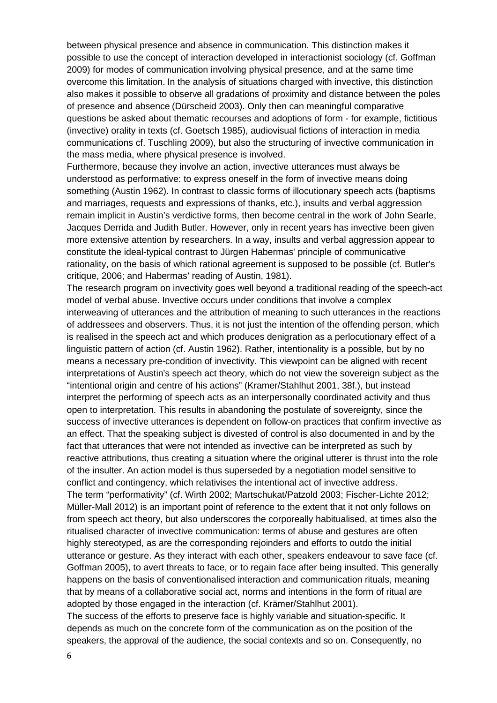between physical presence and absence in communication. This distinction makes it possible to use the concept of interaction developed in interactionist sociology (cf. Goffman 2009) for modes of communication involving physical presence, and at the same time overcome this limitation. In the analysis of situations charged with invective, this distinction also makes it possible to observe all gradations of proximity and distance between the poles of presence and absence (Dürscheid 2003). Only then can meaningful comparative questions be asked about thematic recourses and adoptions of form - for example, fictitious (invective) orality in texts (cf. Goetsch 1985), audiovisual fictions of interaction in media communications cf. Tuschling 2009), but also the structuring of invective communication in the mass media, where physical presence is involved.

Furthermore, because they involve an action, invective utterances must always be understood as performative: to express oneself in the form of invective means doing something (Austin 1962). In contrast to classic forms of illocutionary speech acts (baptisms and marriages, requests and expressions of thanks, etc.), insults and verbal aggression remain implicit in Austin's verdictive forms, then become central in the work of John Searle, Jacques Derrida and Judith Butler. However, only in recent years has invective been given more extensive attention by researchers. In a way, insults and verbal aggression appear to constitute the ideal-typical contrast to Jürgen Habermas' principle of communicative rationality, on the basis of which rational agreement is supposed to be possible (cf. Butler's critique, 2006; and Habermas' reading of Austin, 1981).

The research program on invectivity goes well beyond a traditional reading of the speech-act model of verbal abuse. Invective occurs under conditions that involve a complex interweaving of utterances and the attribution of meaning to such utterances in the reactions of addressees and observers. Thus, it is not just the intention of the offending person, which is realised in the speech act and which produces denigration as a perlocutionary effect of a linguistic pattern of action (cf. Austin 1962). Rather, intentionality is a possible, but by no means a necessary pre-condition of invectivity. This viewpoint can be aligned with recent interpretations of Austin's speech act theory, which do not view the sovereign subject as the "intentional origin and centre of his actions" (Kramer/Stahlhut 2001, 38f.), but instead interpret the performing of speech acts as an interpersonally coordinated activity and thus open to interpretation. This results in abandoning the postulate of sovereignty, since the success of invective utterances is dependent on follow-on practices that confirm invective as an effect. That the speaking subject is divested of control is also documented in and by the fact that utterances that were not intended as invective can be interpreted as such by reactive attributions, thus creating a situation where the original utterer is thrust into the role of the insulter. An action model is thus superseded by a negotiation model sensitive to conflict and contingency, which relativises the intentional act of invective address. The term "performativity" (cf. Wirth 2002; Martschukat/Patzold 2003; Fischer-Lichte 2012; Müller-Mall 2012) is an important point of reference to the extent that it not only follows on from speech act theory, but also underscores the corporeally habitualised, at times also the ritualised character of invective communication: terms of abuse and gestures are often highly stereotyped, as are the corresponding rejoinders and efforts to outdo the initial utterance or gesture. As they interact with each other, speakers endeavour to save face (cf. Goffman 2005), to avert threats to face, or to regain face after being insulted. This generally happens on the basis of conventionalised interaction and communication rituals, meaning that by means of a collaborative social act, norms and intentions in the form of ritual are adopted by those engaged in the interaction (cf. Krämer/Stahlhut 2001). The success of the efforts to preserve face is highly variable and situation-specific. It

depends as much on the concrete form of the communication as on the position of the speakers, the approval of the audience, the social contexts and so on. Consequently, no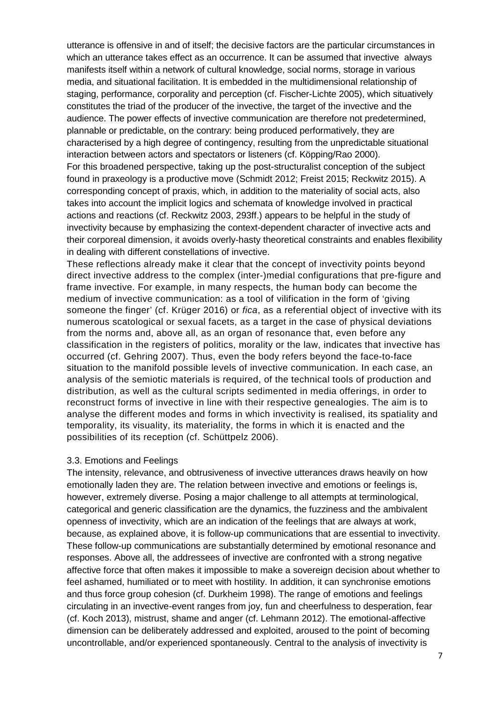utterance is offensive in and of itself; the decisive factors are the particular circumstances in which an utterance takes effect as an occurrence. It can be assumed that invective always manifests itself within a network of cultural knowledge, social norms, storage in various media, and situational facilitation. It is embedded in the multidimensional relationship of staging, performance, corporality and perception (cf. Fischer-Lichte 2005), which situatively constitutes the triad of the producer of the invective, the target of the invective and the audience. The power effects of invective communication are therefore not predetermined, plannable or predictable, on the contrary: being produced performatively, they are characterised by a high degree of contingency, resulting from the unpredictable situational interaction between actors and spectators or listeners (cf. Köpping/Rao 2000). For this broadened perspective, taking up the post-structuralist conception of the subject found in praxeology is a productive move (Schmidt 2012; Freist 2015; Reckwitz 2015). A corresponding concept of praxis, which, in addition to the materiality of social acts, also

takes into account the implicit logics and schemata of knowledge involved in practical actions and reactions (cf. Reckwitz 2003, 293ff.) appears to be helpful in the study of invectivity because by emphasizing the context-dependent character of invective acts and their corporeal dimension, it avoids overly-hasty theoretical constraints and enables flexibility in dealing with different constellations of invective.

These reflections already make it clear that the concept of invectivity points beyond direct invective address to the complex (inter-)medial configurations that pre-figure and frame invective. For example, in many respects, the human body can become the medium of invective communication: as a tool of vilification in the form of 'giving someone the finger' (cf. Krüger 2016) or *fica*, as a referential object of invective with its numerous scatological or sexual facets, as a target in the case of physical deviations from the norms and, above all, as an organ of resonance that, even before any classification in the registers of politics, morality or the law, indicates that invective has occurred (cf. Gehring 2007). Thus, even the body refers beyond the face-to-face situation to the manifold possible levels of invective communication. In each case, an analysis of the semiotic materials is required, of the technical tools of production and distribution, as well as the cultural scripts sedimented in media offerings, in order to reconstruct forms of invective in line with their respective genealogies. The aim is to analyse the different modes and forms in which invectivity is realised, its spatiality and temporality, its visuality, its materiality, the forms in which it is enacted and the possibilities of its reception (cf. Schüttpelz 2006).

#### 3.3. Emotions and Feelings

The intensity, relevance, and obtrusiveness of invective utterances draws heavily on how emotionally laden they are. The relation between invective and emotions or feelings is, however, extremely diverse. Posing a major challenge to all attempts at terminological, categorical and generic classification are the dynamics, the fuzziness and the ambivalent openness of invectivity, which are an indication of the feelings that are always at work, because, as explained above, it is follow-up communications that are essential to invectivity. These follow-up communications are substantially determined by emotional resonance and responses. Above all, the addressees of invective are confronted with a strong negative affective force that often makes it impossible to make a sovereign decision about whether to feel ashamed, humiliated or to meet with hostility. In addition, it can synchronise emotions and thus force group cohesion (cf. Durkheim 1998). The range of emotions and feelings circulating in an invective-event ranges from joy, fun and cheerfulness to desperation, fear (cf. Koch 2013), mistrust, shame and anger (cf. Lehmann 2012). The emotional-affective dimension can be deliberately addressed and exploited, aroused to the point of becoming uncontrollable, and/or experienced spontaneously. Central to the analysis of invectivity is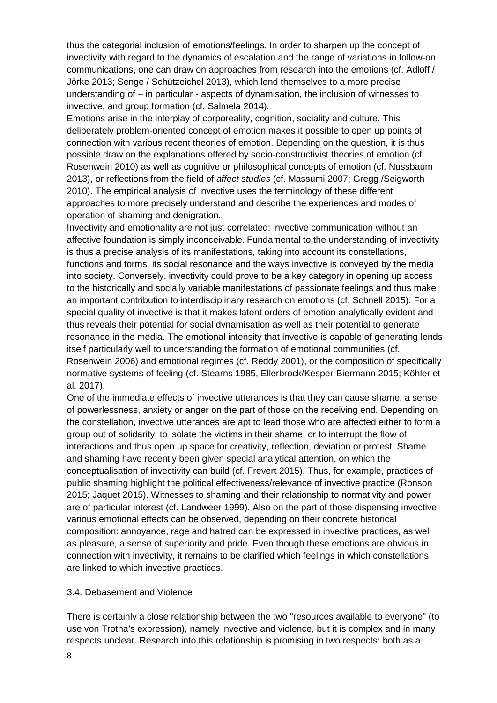thus the categorial inclusion of emotions/feelings. In order to sharpen up the concept of invectivity with regard to the dynamics of escalation and the range of variations in follow-on communications, one can draw on approaches from research into the emotions (cf. Adloff / Jörke 2013; Senge / Schützeichel 2013), which lend themselves to a more precise understanding of – in particular - aspects of dynamisation, the inclusion of witnesses to invective, and group formation (cf. Salmela 2014).

Emotions arise in the interplay of corporeality, cognition, sociality and culture. This deliberately problem-oriented concept of emotion makes it possible to open up points of connection with various recent theories of emotion. Depending on the question, it is thus possible draw on the explanations offered by socio-constructivist theories of emotion (cf. Rosenwein 2010) as well as cognitive or philosophical concepts of emotion (cf. Nussbaum 2013), or reflections from the field of *affect studies* (cf. Massumi 2007; Gregg /Seigworth 2010). The empirical analysis of invective uses the terminology of these different approaches to more precisely understand and describe the experiences and modes of operation of shaming and denigration.

Invectivity and emotionality are not just correlated: invective communication without an affective foundation is simply inconceivable. Fundamental to the understanding of invectivity is thus a precise analysis of its manifestations, taking into account its constellations, functions and forms, its social resonance and the ways invective is conveyed by the media into society. Conversely, invectivity could prove to be a key category in opening up access to the historically and socially variable manifestations of passionate feelings and thus make an important contribution to interdisciplinary research on emotions (cf. Schnell 2015). For a special quality of invective is that it makes latent orders of emotion analytically evident and thus reveals their potential for social dynamisation as well as their potential to generate resonance in the media. The emotional intensity that invective is capable of generating lends itself particularly well to understanding the formation of emotional communities (cf. Rosenwein 2006) and emotional regimes (cf. Reddy 2001), or the composition of specifically normative systems of feeling (cf. Stearns 1985, Ellerbrock/Kesper-Biermann 2015; Köhler et al. 2017).

One of the immediate effects of invective utterances is that they can cause shame, a sense of powerlessness, anxiety or anger on the part of those on the receiving end. Depending on the constellation, invective utterances are apt to lead those who are affected either to form a group out of solidarity, to isolate the victims in their shame, or to interrupt the flow of interactions and thus open up space for creativity, reflection, deviation or protest. Shame and shaming have recently been given special analytical attention, on which the conceptualisation of invectivity can build (cf. Frevert 2015). Thus, for example, practices of public shaming highlight the political effectiveness/relevance of invective practice (Ronson 2015; Jaquet 2015). Witnesses to shaming and their relationship to normativity and power are of particular interest (cf. Landweer 1999). Also on the part of those dispensing invective, various emotional effects can be observed, depending on their concrete historical composition: annoyance, rage and hatred can be expressed in invective practices, as well as pleasure, a sense of superiority and pride. Even though these emotions are obvious in connection with invectivity, it remains to be clarified which feelings in which constellations are linked to which invective practices.

#### 3.4. Debasement and Violence

There is certainly a close relationship between the two "resources available to everyone" (to use von Trotha's expression), namely invective and violence, but it is complex and in many respects unclear. Research into this relationship is promising in two respects: both as a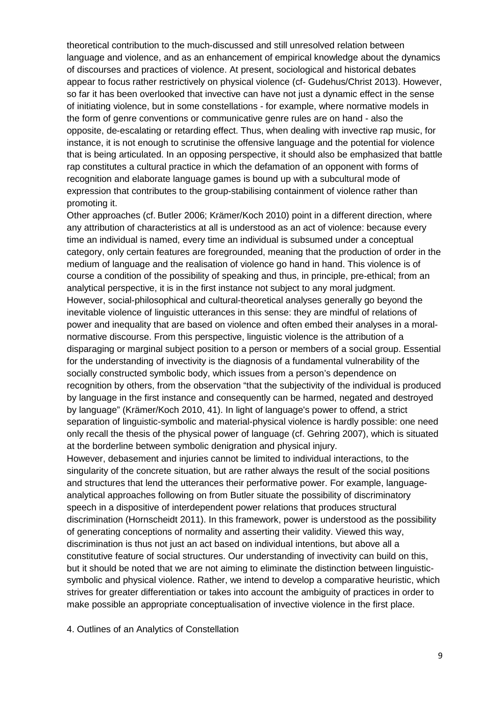theoretical contribution to the much-discussed and still unresolved relation between language and violence, and as an enhancement of empirical knowledge about the dynamics of discourses and practices of violence. At present, sociological and historical debates appear to focus rather restrictively on physical violence (cf- Gudehus/Christ 2013). However, so far it has been overlooked that invective can have not just a dynamic effect in the sense of initiating violence, but in some constellations - for example, where normative models in the form of genre conventions or communicative genre rules are on hand - also the opposite, de-escalating or retarding effect. Thus, when dealing with invective rap music, for instance, it is not enough to scrutinise the offensive language and the potential for violence that is being articulated. In an opposing perspective, it should also be emphasized that battle rap constitutes a cultural practice in which the defamation of an opponent with forms of recognition and elaborate language games is bound up with a subcultural mode of expression that contributes to the group-stabilising containment of violence rather than promoting it.

Other approaches (cf. Butler 2006; Krämer/Koch 2010) point in a different direction, where any attribution of characteristics at all is understood as an act of violence: because every time an individual is named, every time an individual is subsumed under a conceptual category, only certain features are foregrounded, meaning that the production of order in the medium of language and the realisation of violence go hand in hand. This violence is of course a condition of the possibility of speaking and thus, in principle, pre-ethical; from an analytical perspective, it is in the first instance not subject to any moral judgment. However, social-philosophical and cultural-theoretical analyses generally go beyond the inevitable violence of linguistic utterances in this sense: they are mindful of relations of power and inequality that are based on violence and often embed their analyses in a moralnormative discourse. From this perspective, linguistic violence is the attribution of a disparaging or marginal subject position to a person or members of a social group. Essential for the understanding of invectivity is the diagnosis of a fundamental vulnerability of the socially constructed symbolic body, which issues from a person's dependence on recognition by others, from the observation "that the subjectivity of the individual is produced by language in the first instance and consequently can be harmed, negated and destroyed by language" (Krämer/Koch 2010, 41). In light of language's power to offend, a strict separation of linguistic-symbolic and material-physical violence is hardly possible: one need only recall the thesis of the physical power of language (cf. Gehring 2007), which is situated at the borderline between symbolic denigration and physical injury.

However, debasement and injuries cannot be limited to individual interactions, to the singularity of the concrete situation, but are rather always the result of the social positions and structures that lend the utterances their performative power. For example, languageanalytical approaches following on from Butler situate the possibility of discriminatory speech in a dispositive of interdependent power relations that produces structural discrimination (Hornscheidt 2011). In this framework, power is understood as the possibility of generating conceptions of normality and asserting their validity. Viewed this way, discrimination is thus not just an act based on individual intentions, but above all a constitutive feature of social structures. Our understanding of invectivity can build on this, but it should be noted that we are not aiming to eliminate the distinction between linguisticsymbolic and physical violence. Rather, we intend to develop a comparative heuristic, which strives for greater differentiation or takes into account the ambiguity of practices in order to make possible an appropriate conceptualisation of invective violence in the first place.

4. Outlines of an Analytics of Constellation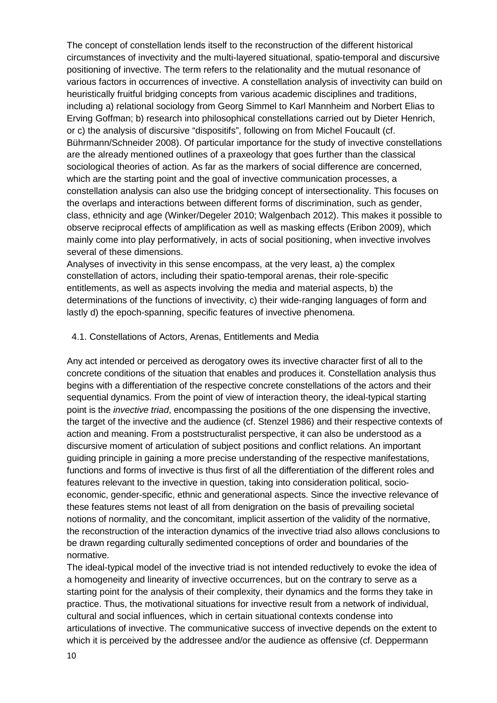The concept of constellation lends itself to the reconstruction of the different historical circumstances of invectivity and the multi-layered situational, spatio-temporal and discursive positioning of invective. The term refers to the relationality and the mutual resonance of various factors in occurrences of invective. A constellation analysis of invectivity can build on heuristically fruitful bridging concepts from various academic disciplines and traditions, including a) relational sociology from Georg Simmel to Karl Mannheim and Norbert Elias to Erving Goffman; b) research into philosophical constellations carried out by Dieter Henrich, or c) the analysis of discursive "dispositifs", following on from Michel Foucault (cf. Bührmann/Schneider 2008). Of particular importance for the study of invective constellations are the already mentioned outlines of a praxeology that goes further than the classical sociological theories of action. As far as the markers of social difference are concerned, which are the starting point and the goal of invective communication processes, a constellation analysis can also use the bridging concept of intersectionality. This focuses on the overlaps and interactions between different forms of discrimination, such as gender, class, ethnicity and age (Winker/Degeler 2010; Walgenbach 2012). This makes it possible to observe reciprocal effects of amplification as well as masking effects (Eribon 2009), which mainly come into play performatively, in acts of social positioning, when invective involves several of these dimensions.

Analyses of invectivity in this sense encompass, at the very least, a) the complex constellation of actors, including their spatio-temporal arenas, their role-specific entitlements, as well as aspects involving the media and material aspects, b) the determinations of the functions of invectivity, c) their wide-ranging languages of form and lastly d) the epoch-spanning, specific features of invective phenomena.

#### 4.1. Constellations of Actors, Arenas, Entitlements and Media

Any act intended or perceived as derogatory owes its invective character first of all to the concrete conditions of the situation that enables and produces it. Constellation analysis thus begins with a differentiation of the respective concrete constellations of the actors and their sequential dynamics. From the point of view of interaction theory, the ideal-typical starting point is the *invective triad*, encompassing the positions of the one dispensing the invective, the target of the invective and the audience (cf. Stenzel 1986) and their respective contexts of action and meaning. From a poststructuralist perspective, it can also be understood as a discursive moment of articulation of subject positions and conflict relations. An important guiding principle in gaining a more precise understanding of the respective manifestations, functions and forms of invective is thus first of all the differentiation of the different roles and features relevant to the invective in question, taking into consideration political, socioeconomic, gender-specific, ethnic and generational aspects. Since the invective relevance of these features stems not least of all from denigration on the basis of prevailing societal notions of normality, and the concomitant, implicit assertion of the validity of the normative, the reconstruction of the interaction dynamics of the invective triad also allows conclusions to be drawn regarding culturally sedimented conceptions of order and boundaries of the normative.

The ideal-typical model of the invective triad is not intended reductively to evoke the idea of a homogeneity and linearity of invective occurrences, but on the contrary to serve as a starting point for the analysis of their complexity, their dynamics and the forms they take in practice. Thus, the motivational situations for invective result from a network of individual, cultural and social influences, which in certain situational contexts condense into articulations of invective. The communicative success of invective depends on the extent to which it is perceived by the addressee and/or the audience as offensive (cf. Deppermann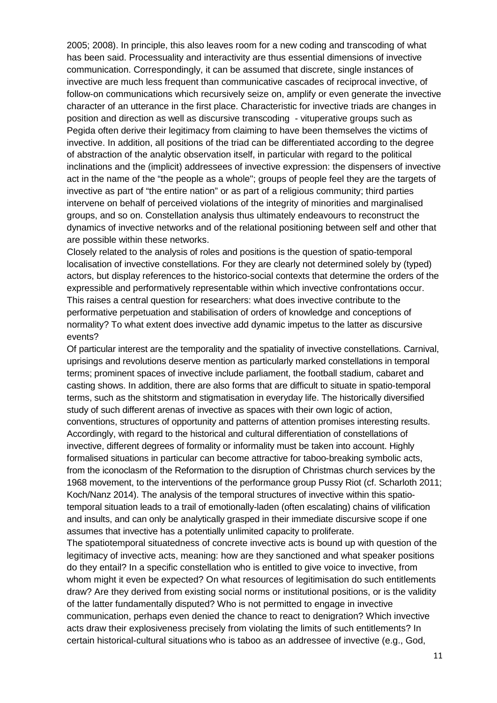2005; 2008). In principle, this also leaves room for a new coding and transcoding of what has been said. Processuality and interactivity are thus essential dimensions of invective communication. Correspondingly, it can be assumed that discrete, single instances of invective are much less frequent than communicative cascades of reciprocal invective, of follow-on communications which recursively seize on, amplify or even generate the invective character of an utterance in the first place. Characteristic for invective triads are changes in position and direction as well as discursive transcoding - vituperative groups such as Pegida often derive their legitimacy from claiming to have been themselves the victims of invective. In addition, all positions of the triad can be differentiated according to the degree of abstraction of the analytic observation itself, in particular with regard to the political inclinations and the (implicit) addressees of invective expression: the dispensers of invective act in the name of the "the people as a whole"; groups of people feel they are the targets of invective as part of "the entire nation" or as part of a religious community; third parties intervene on behalf of perceived violations of the integrity of minorities and marginalised groups, and so on. Constellation analysis thus ultimately endeavours to reconstruct the dynamics of invective networks and of the relational positioning between self and other that are possible within these networks.

Closely related to the analysis of roles and positions is the question of spatio-temporal localisation of invective constellations. For they are clearly not determined solely by (typed) actors, but display references to the historico-social contexts that determine the orders of the expressible and performatively representable within which invective confrontations occur. This raises a central question for researchers: what does invective contribute to the performative perpetuation and stabilisation of orders of knowledge and conceptions of normality? To what extent does invective add dynamic impetus to the latter as discursive events?

Of particular interest are the temporality and the spatiality of invective constellations. Carnival, uprisings and revolutions deserve mention as particularly marked constellations in temporal terms; prominent spaces of invective include parliament, the football stadium, cabaret and casting shows. In addition, there are also forms that are difficult to situate in spatio-temporal terms, such as the shitstorm and stigmatisation in everyday life. The historically diversified study of such different arenas of invective as spaces with their own logic of action, conventions, structures of opportunity and patterns of attention promises interesting results. Accordingly, with regard to the historical and cultural differentiation of constellations of invective, different degrees of formality or informality must be taken into account. Highly formalised situations in particular can become attractive for taboo-breaking symbolic acts, from the iconoclasm of the Reformation to the disruption of Christmas church services by the 1968 movement, to the interventions of the performance group Pussy Riot (cf. Scharloth 2011; Koch/Nanz 2014). The analysis of the temporal structures of invective within this spatiotemporal situation leads to a trail of emotionally-laden (often escalating) chains of vilification and insults, and can only be analytically grasped in their immediate discursive scope if one assumes that invective has a potentially unlimited capacity to proliferate.

The spatiotemporal situatedness of concrete invective acts is bound up with question of the legitimacy of invective acts, meaning: how are they sanctioned and what speaker positions do they entail? In a specific constellation who is entitled to give voice to invective, from whom might it even be expected? On what resources of legitimisation do such entitlements draw? Are they derived from existing social norms or institutional positions, or is the validity of the latter fundamentally disputed? Who is not permitted to engage in invective communication, perhaps even denied the chance to react to denigration? Which invective acts draw their explosiveness precisely from violating the limits of such entitlements? In certain historical-cultural situations who is taboo as an addressee of invective (e.g., God,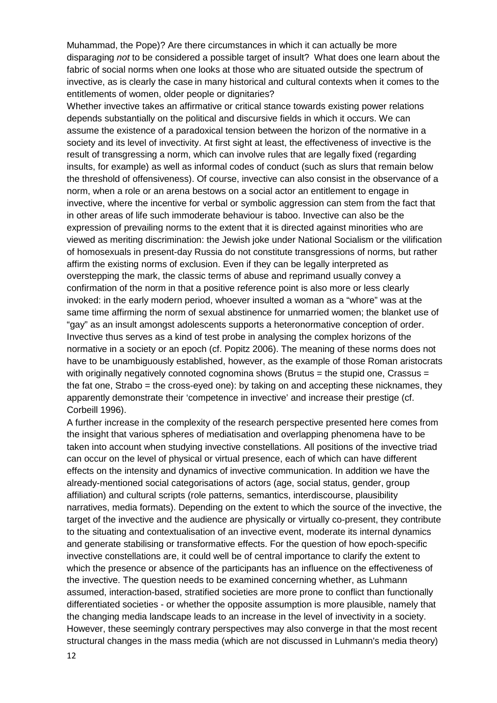Muhammad, the Pope)? Are there circumstances in which it can actually be more disparaging *not* to be considered a possible target of insult? What does one learn about the fabric of social norms when one looks at those who are situated outside the spectrum of invective, as is clearly the case in many historical and cultural contexts when it comes to the entitlements of women, older people or dignitaries?

Whether invective takes an affirmative or critical stance towards existing power relations depends substantially on the political and discursive fields in which it occurs. We can assume the existence of a paradoxical tension between the horizon of the normative in a society and its level of invectivity. At first sight at least, the effectiveness of invective is the result of transgressing a norm, which can involve rules that are legally fixed (regarding insults, for example) as well as informal codes of conduct (such as slurs that remain below the threshold of offensiveness). Of course, invective can also consist in the observance of a norm, when a role or an arena bestows on a social actor an entitlement to engage in invective, where the incentive for verbal or symbolic aggression can stem from the fact that in other areas of life such immoderate behaviour is taboo. Invective can also be the expression of prevailing norms to the extent that it is directed against minorities who are viewed as meriting discrimination: the Jewish joke under National Socialism or the vilification of homosexuals in present-day Russia do not constitute transgressions of norms, but rather affirm the existing norms of exclusion. Even if they can be legally interpreted as overstepping the mark, the classic terms of abuse and reprimand usually convey a confirmation of the norm in that a positive reference point is also more or less clearly invoked: in the early modern period, whoever insulted a woman as a "whore" was at the same time affirming the norm of sexual abstinence for unmarried women; the blanket use of "gay" as an insult amongst adolescents supports a heteronormative conception of order. Invective thus serves as a kind of test probe in analysing the complex horizons of the normative in a society or an epoch (cf. Popitz 2006). The meaning of these norms does not have to be unambiguously established, however, as the example of those Roman aristocrats with originally negatively connoted cognomina shows (Brutus  $=$  the stupid one, Crassus  $=$ the fat one, Strabo = the cross-eyed one): by taking on and accepting these nicknames, they apparently demonstrate their 'competence in invective' and increase their prestige (cf. Corbeill 1996).

A further increase in the complexity of the research perspective presented here comes from the insight that various spheres of mediatisation and overlapping phenomena have to be taken into account when studying invective constellations. All positions of the invective triad can occur on the level of physical or virtual presence, each of which can have different effects on the intensity and dynamics of invective communication. In addition we have the already-mentioned social categorisations of actors (age, social status, gender, group affiliation) and cultural scripts (role patterns, semantics, interdiscourse, plausibility narratives, media formats). Depending on the extent to which the source of the invective, the target of the invective and the audience are physically or virtually co-present, they contribute to the situating and contextualisation of an invective event, moderate its internal dynamics and generate stabilising or transformative effects. For the question of how epoch-specific invective constellations are, it could well be of central importance to clarify the extent to which the presence or absence of the participants has an influence on the effectiveness of the invective. The question needs to be examined concerning whether, as Luhmann assumed, interaction-based, stratified societies are more prone to conflict than functionally differentiated societies - or whether the opposite assumption is more plausible, namely that the changing media landscape leads to an increase in the level of invectivity in a society. However, these seemingly contrary perspectives may also converge in that the most recent structural changes in the mass media (which are not discussed in Luhmann's media theory)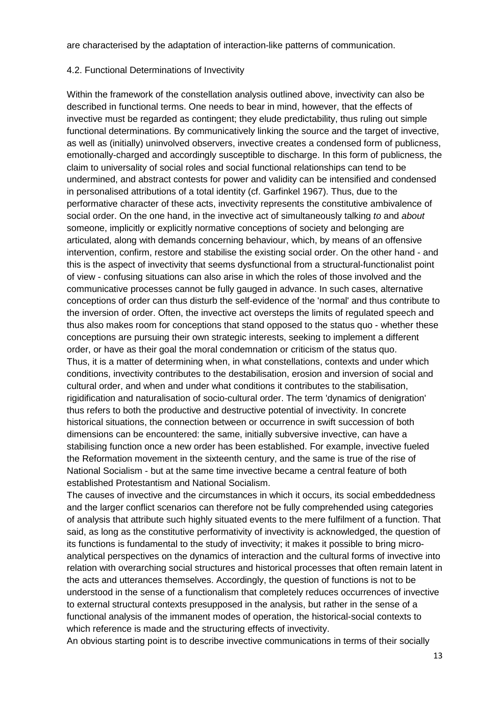are characterised by the adaptation of interaction-like patterns of communication.

### 4.2. Functional Determinations of Invectivity

Within the framework of the constellation analysis outlined above, invectivity can also be described in functional terms. One needs to bear in mind, however, that the effects of invective must be regarded as contingent; they elude predictability, thus ruling out simple functional determinations. By communicatively linking the source and the target of invective, as well as (initially) uninvolved observers, invective creates a condensed form of publicness, emotionally-charged and accordingly susceptible to discharge. In this form of publicness, the claim to universality of social roles and social functional relationships can tend to be undermined, and abstract contests for power and validity can be intensified and condensed in personalised attributions of a total identity (cf. Garfinkel 1967). Thus, due to the performative character of these acts, invectivity represents the constitutive ambivalence of social order. On the one hand, in the invective act of simultaneously talking *to* and *about* someone, implicitly or explicitly normative conceptions of society and belonging are articulated, along with demands concerning behaviour, which, by means of an offensive intervention, confirm, restore and stabilise the existing social order. On the other hand - and this is the aspect of invectivity that seems dysfunctional from a structural-functionalist point of view - confusing situations can also arise in which the roles of those involved and the communicative processes cannot be fully gauged in advance. In such cases, alternative conceptions of order can thus disturb the self-evidence of the 'normal' and thus contribute to the inversion of order. Often, the invective act oversteps the limits of regulated speech and thus also makes room for conceptions that stand opposed to the status quo - whether these conceptions are pursuing their own strategic interests, seeking to implement a different order, or have as their goal the moral condemnation or criticism of the status quo. Thus, it is a matter of determining when, in what constellations, contexts and under which conditions, invectivity contributes to the destabilisation, erosion and inversion of social and cultural order, and when and under what conditions it contributes to the stabilisation, rigidification and naturalisation of socio-cultural order. The term 'dynamics of denigration' thus refers to both the productive and destructive potential of invectivity. In concrete historical situations, the connection between or occurrence in swift succession of both dimensions can be encountered: the same, initially subversive invective, can have a stabilising function once a new order has been established. For example, invective fueled the Reformation movement in the sixteenth century, and the same is true of the rise of National Socialism - but at the same time invective became a central feature of both established Protestantism and National Socialism.

The causes of invective and the circumstances in which it occurs, its social embeddedness and the larger conflict scenarios can therefore not be fully comprehended using categories of analysis that attribute such highly situated events to the mere fulfilment of a function. That said, as long as the constitutive performativity of invectivity is acknowledged, the question of its functions is fundamental to the study of invectivity; it makes it possible to bring microanalytical perspectives on the dynamics of interaction and the cultural forms of invective into relation with overarching social structures and historical processes that often remain latent in the acts and utterances themselves. Accordingly, the question of functions is not to be understood in the sense of a functionalism that completely reduces occurrences of invective to external structural contexts presupposed in the analysis, but rather in the sense of a functional analysis of the immanent modes of operation, the historical-social contexts to which reference is made and the structuring effects of invectivity.

An obvious starting point is to describe invective communications in terms of their socially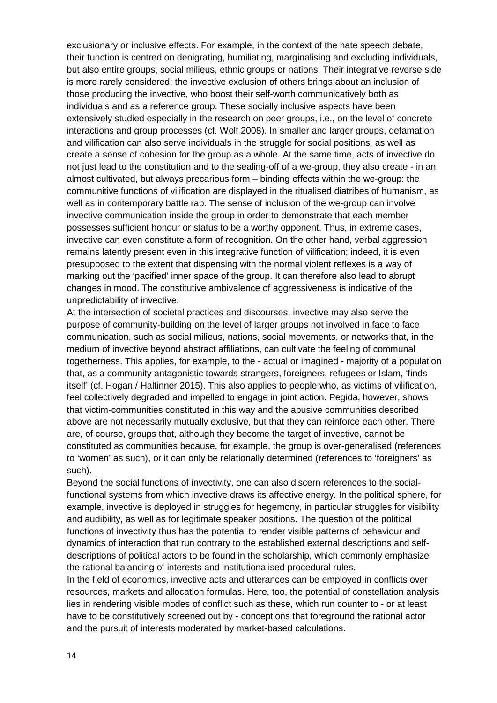exclusionary or inclusive effects. For example, in the context of the hate speech debate, their function is centred on denigrating, humiliating, marginalising and excluding individuals, but also entire groups, social milieus, ethnic groups or nations. Their integrative reverse side is more rarely considered: the invective exclusion of others brings about an inclusion of those producing the invective, who boost their self-worth communicatively both as individuals and as a reference group. These socially inclusive aspects have been extensively studied especially in the research on peer groups, i.e., on the level of concrete interactions and group processes (cf. Wolf 2008). In smaller and larger groups, defamation and vilification can also serve individuals in the struggle for social positions, as well as create a sense of cohesion for the group as a whole. At the same time, acts of invective do not just lead to the constitution and to the sealing-off of a we-group, they also create - in an almost cultivated, but always precarious form – binding effects within the we-group: the communitive functions of vilification are displayed in the ritualised diatribes of humanism, as well as in contemporary battle rap. The sense of inclusion of the we-group can involve invective communication inside the group in order to demonstrate that each member possesses sufficient honour or status to be a worthy opponent. Thus, in extreme cases, invective can even constitute a form of recognition. On the other hand, verbal aggression remains latently present even in this integrative function of vilification; indeed, it is even presupposed to the extent that dispensing with the normal violent reflexes is a way of marking out the 'pacified' inner space of the group. It can therefore also lead to abrupt changes in mood. The constitutive ambivalence of aggressiveness is indicative of the unpredictability of invective.

At the intersection of societal practices and discourses, invective may also serve the purpose of community-building on the level of larger groups not involved in face to face communication, such as social milieus, nations, social movements, or networks that, in the medium of invective beyond abstract affiliations, can cultivate the feeling of communal togetherness. This applies, for example, to the - actual or imagined - majority of a population that, as a community antagonistic towards strangers, foreigners, refugees or Islam, 'finds itself' (cf. Hogan / Haltinner 2015). This also applies to people who, as victims of vilification, feel collectively degraded and impelled to engage in joint action. Pegida, however, shows that victim-communities constituted in this way and the abusive communities described above are not necessarily mutually exclusive, but that they can reinforce each other. There are, of course, groups that, although they become the target of invective, cannot be constituted as communities because, for example, the group is over-generalised (references to 'women' as such), or it can only be relationally determined (references to 'foreigners' as such).

Beyond the social functions of invectivity, one can also discern references to the socialfunctional systems from which invective draws its affective energy. In the political sphere, for example, invective is deployed in struggles for hegemony, in particular struggles for visibility and audibility, as well as for legitimate speaker positions. The question of the political functions of invectivity thus has the potential to render visible patterns of behaviour and dynamics of interaction that run contrary to the established external descriptions and selfdescriptions of political actors to be found in the scholarship, which commonly emphasize the rational balancing of interests and institutionalised procedural rules.

In the field of economics, invective acts and utterances can be employed in conflicts over resources, markets and allocation formulas. Here, too, the potential of constellation analysis lies in rendering visible modes of conflict such as these, which run counter to - or at least have to be constitutively screened out by - conceptions that foreground the rational actor and the pursuit of interests moderated by market-based calculations.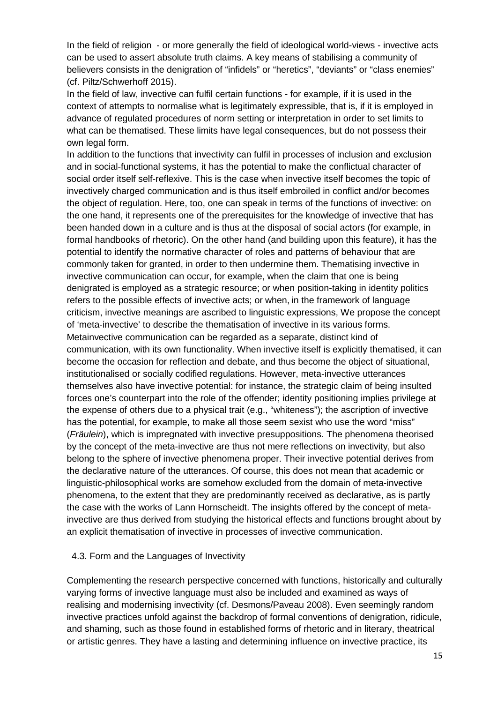In the field of religion - or more generally the field of ideological world-views - invective acts can be used to assert absolute truth claims. A key means of stabilising a community of believers consists in the denigration of "infidels" or "heretics", "deviants" or "class enemies" (cf. Piltz/Schwerhoff 2015).

In the field of law, invective can fulfil certain functions - for example, if it is used in the context of attempts to normalise what is legitimately expressible, that is, if it is employed in advance of regulated procedures of norm setting or interpretation in order to set limits to what can be thematised. These limits have legal consequences, but do not possess their own legal form.

In addition to the functions that invectivity can fulfil in processes of inclusion and exclusion and in social-functional systems, it has the potential to make the conflictual character of social order itself self-reflexive. This is the case when invective itself becomes the topic of invectively charged communication and is thus itself embroiled in conflict and/or becomes the object of regulation. Here, too, one can speak in terms of the functions of invective: on the one hand, it represents one of the prerequisites for the knowledge of invective that has been handed down in a culture and is thus at the disposal of social actors (for example, in formal handbooks of rhetoric). On the other hand (and building upon this feature), it has the potential to identify the normative character of roles and patterns of behaviour that are commonly taken for granted, in order to then undermine them. Thematising invective in invective communication can occur, for example, when the claim that one is being denigrated is employed as a strategic resource; or when position-taking in identity politics refers to the possible effects of invective acts; or when, in the framework of language criticism, invective meanings are ascribed to linguistic expressions, We propose the concept of 'meta-invective' to describe the thematisation of invective in its various forms. Metainvective communication can be regarded as a separate, distinct kind of communication, with its own functionality. When invective itself is explicitly thematised, it can become the occasion for reflection and debate, and thus become the object of situational, institutionalised or socially codified regulations. However, meta-invective utterances themselves also have invective potential: for instance, the strategic claim of being insulted forces one's counterpart into the role of the offender; identity positioning implies privilege at the expense of others due to a physical trait (e.g., "whiteness"); the ascription of invective has the potential, for example, to make all those seem sexist who use the word "miss" (*Fräulein*), which is impregnated with invective presuppositions. The phenomena theorised by the concept of the meta-invective are thus not mere reflections on invectivity, but also belong to the sphere of invective phenomena proper. Their invective potential derives from the declarative nature of the utterances. Of course, this does not mean that academic or linguistic-philosophical works are somehow excluded from the domain of meta-invective phenomena, to the extent that they are predominantly received as declarative, as is partly the case with the works of Lann Hornscheidt. The insights offered by the concept of metainvective are thus derived from studying the historical effects and functions brought about by an explicit thematisation of invective in processes of invective communication.

#### 4.3. Form and the Languages of Invectivity

Complementing the research perspective concerned with functions, historically and culturally varying forms of invective language must also be included and examined as ways of realising and modernising invectivity (cf. Desmons/Paveau 2008). Even seemingly random invective practices unfold against the backdrop of formal conventions of denigration, ridicule, and shaming, such as those found in established forms of rhetoric and in literary, theatrical or artistic genres. They have a lasting and determining influence on invective practice, its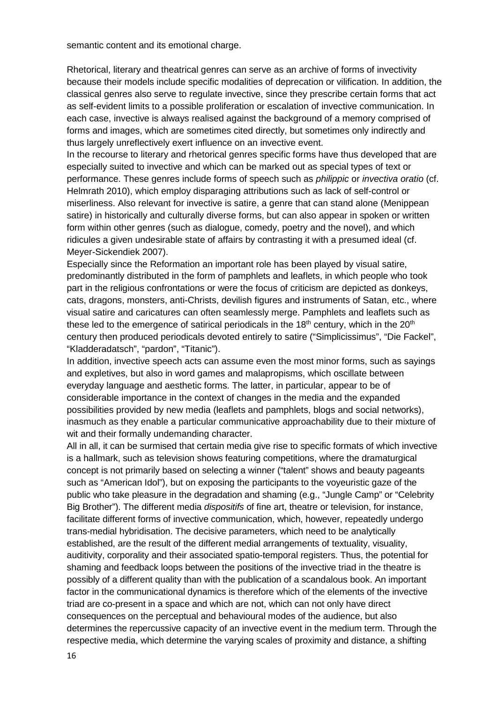semantic content and its emotional charge.

Rhetorical, literary and theatrical genres can serve as an archive of forms of invectivity because their models include specific modalities of deprecation or vilification. In addition, the classical genres also serve to regulate invective, since they prescribe certain forms that act as self-evident limits to a possible proliferation or escalation of invective communication. In each case, invective is always realised against the background of a memory comprised of forms and images, which are sometimes cited directly, but sometimes only indirectly and thus largely unreflectively exert influence on an invective event.

In the recourse to literary and rhetorical genres specific forms have thus developed that are especially suited to invective and which can be marked out as special types of text or performance. These genres include forms of speech such as *philippic* or *invectiva oratio* (cf. Helmrath 2010), which employ disparaging attributions such as lack of self-control or miserliness. Also relevant for invective is satire, a genre that can stand alone (Menippean satire) in historically and culturally diverse forms, but can also appear in spoken or written form within other genres (such as dialogue, comedy, poetry and the novel), and which ridicules a given undesirable state of affairs by contrasting it with a presumed ideal (cf. Meyer-Sickendiek 2007).

Especially since the Reformation an important role has been played by visual satire, predominantly distributed in the form of pamphlets and leaflets, in which people who took part in the religious confrontations or were the focus of criticism are depicted as donkeys, cats, dragons, monsters, anti-Christs, devilish figures and instruments of Satan, etc., where visual satire and caricatures can often seamlessly merge. Pamphlets and leaflets such as these led to the emergence of satirical periodicals in the  $18<sup>th</sup>$  century, which in the  $20<sup>th</sup>$ century then produced periodicals devoted entirely to satire ("Simplicissimus", "Die Fackel", "Kladderadatsch", "pardon", "Titanic").

In addition, invective speech acts can assume even the most minor forms, such as sayings and expletives, but also in word games and malapropisms, which oscillate between everyday language and aesthetic forms. The latter, in particular, appear to be of considerable importance in the context of changes in the media and the expanded possibilities provided by new media (leaflets and pamphlets, blogs and social networks), inasmuch as they enable a particular communicative approachability due to their mixture of wit and their formally undemanding character.

All in all, it can be surmised that certain media give rise to specific formats of which invective is a hallmark, such as television shows featuring competitions, where the dramaturgical concept is not primarily based on selecting a winner ("talent" shows and beauty pageants such as "American Idol"), but on exposing the participants to the voyeuristic gaze of the public who take pleasure in the degradation and shaming (e.g., "Jungle Camp" or "Celebrity Big Brother"). The different media *dispositifs* of fine art, theatre or television, for instance, facilitate different forms of invective communication, which, however, repeatedly undergo trans-medial hybridisation. The decisive parameters, which need to be analytically established, are the result of the different medial arrangements of textuality, visuality, auditivity, corporality and their associated spatio-temporal registers. Thus, the potential for shaming and feedback loops between the positions of the invective triad in the theatre is possibly of a different quality than with the publication of a scandalous book. An important factor in the communicational dynamics is therefore which of the elements of the invective triad are co-present in a space and which are not, which can not only have direct consequences on the perceptual and behavioural modes of the audience, but also determines the repercussive capacity of an invective event in the medium term. Through the respective media, which determine the varying scales of proximity and distance, a shifting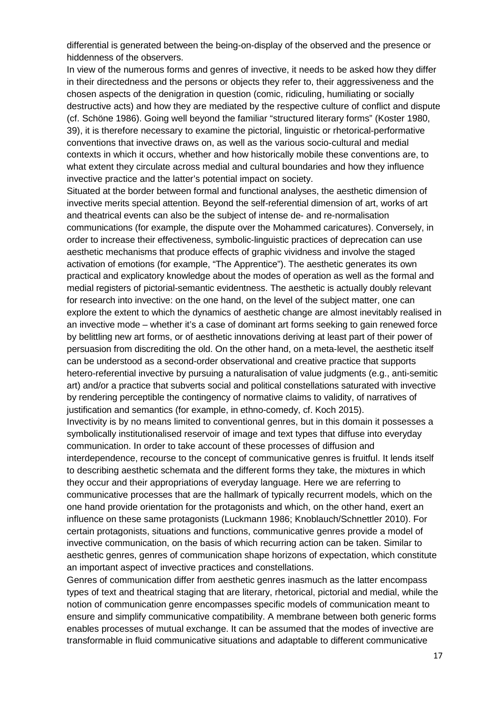differential is generated between the being-on-display of the observed and the presence or hiddenness of the observers.

In view of the numerous forms and genres of invective, it needs to be asked how they differ in their directedness and the persons or objects they refer to, their aggressiveness and the chosen aspects of the denigration in question (comic, ridiculing, humiliating or socially destructive acts) and how they are mediated by the respective culture of conflict and dispute (cf. Schöne 1986). Going well beyond the familiar "structured literary forms" (Koster 1980, 39), it is therefore necessary to examine the pictorial, linguistic or rhetorical-performative conventions that invective draws on, as well as the various socio-cultural and medial contexts in which it occurs, whether and how historically mobile these conventions are, to what extent they circulate across medial and cultural boundaries and how they influence invective practice and the latter's potential impact on society.

Situated at the border between formal and functional analyses, the aesthetic dimension of invective merits special attention. Beyond the self-referential dimension of art, works of art and theatrical events can also be the subject of intense de- and re-normalisation communications (for example, the dispute over the Mohammed caricatures). Conversely, in order to increase their effectiveness, symbolic-linguistic practices of deprecation can use aesthetic mechanisms that produce effects of graphic vividness and involve the staged activation of emotions (for example, "The Apprentice"). The aesthetic generates its own practical and explicatory knowledge about the modes of operation as well as the formal and medial registers of pictorial-semantic evidentness. The aesthetic is actually doubly relevant for research into invective: on the one hand, on the level of the subject matter, one can explore the extent to which the dynamics of aesthetic change are almost inevitably realised in an invective mode – whether it's a case of dominant art forms seeking to gain renewed force by belittling new art forms, or of aesthetic innovations deriving at least part of their power of persuasion from discrediting the old. On the other hand, on a meta-level, the aesthetic itself can be understood as a second-order observational and creative practice that supports hetero-referential invective by pursuing a naturalisation of value judgments (e.g., anti-semitic art) and/or a practice that subverts social and political constellations saturated with invective by rendering perceptible the contingency of normative claims to validity, of narratives of justification and semantics (for example, in ethno-comedy, cf. Koch 2015).

Invectivity is by no means limited to conventional genres, but in this domain it possesses a symbolically institutionalised reservoir of image and text types that diffuse into everyday communication. In order to take account of these processes of diffusion and interdependence, recourse to the concept of communicative genres is fruitful. It lends itself to describing aesthetic schemata and the different forms they take, the mixtures in which they occur and their appropriations of everyday language. Here we are referring to communicative processes that are the hallmark of typically recurrent models, which on the one hand provide orientation for the protagonists and which, on the other hand, exert an influence on these same protagonists (Luckmann 1986; Knoblauch/Schnettler 2010). For certain protagonists, situations and functions, communicative genres provide a model of invective communication, on the basis of which recurring action can be taken. Similar to aesthetic genres, genres of communication shape horizons of expectation, which constitute an important aspect of invective practices and constellations.

Genres of communication differ from aesthetic genres inasmuch as the latter encompass types of text and theatrical staging that are literary, rhetorical, pictorial and medial, while the notion of communication genre encompasses specific models of communication meant to ensure and simplify communicative compatibility. A membrane between both generic forms enables processes of mutual exchange. It can be assumed that the modes of invective are transformable in fluid communicative situations and adaptable to different communicative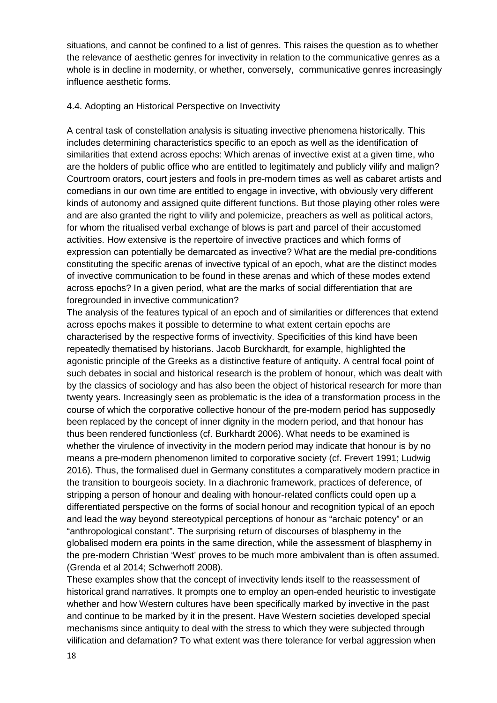situations, and cannot be confined to a list of genres. This raises the question as to whether the relevance of aesthetic genres for invectivity in relation to the communicative genres as a whole is in decline in modernity, or whether, conversely, communicative genres increasingly influence aesthetic forms.

#### 4.4. Adopting an Historical Perspective on Invectivity

A central task of constellation analysis is situating invective phenomena historically. This includes determining characteristics specific to an epoch as well as the identification of similarities that extend across epochs: Which arenas of invective exist at a given time, who are the holders of public office who are entitled to legitimately and publicly vilify and malign? Courtroom orators, court jesters and fools in pre-modern times as well as cabaret artists and comedians in our own time are entitled to engage in invective, with obviously very different kinds of autonomy and assigned quite different functions. But those playing other roles were and are also granted the right to vilify and polemicize, preachers as well as political actors, for whom the ritualised verbal exchange of blows is part and parcel of their accustomed activities. How extensive is the repertoire of invective practices and which forms of expression can potentially be demarcated as invective? What are the medial pre-conditions constituting the specific arenas of invective typical of an epoch, what are the distinct modes of invective communication to be found in these arenas and which of these modes extend across epochs? In a given period, what are the marks of social differentiation that are foregrounded in invective communication?

The analysis of the features typical of an epoch and of similarities or differences that extend across epochs makes it possible to determine to what extent certain epochs are characterised by the respective forms of invectivity. Specificities of this kind have been repeatedly thematised by historians. Jacob Burckhardt, for example, highlighted the agonistic principle of the Greeks as a distinctive feature of antiquity. A central focal point of such debates in social and historical research is the problem of honour, which was dealt with by the classics of sociology and has also been the object of historical research for more than twenty years. Increasingly seen as problematic is the idea of a transformation process in the course of which the corporative collective honour of the pre-modern period has supposedly been replaced by the concept of inner dignity in the modern period, and that honour has thus been rendered functionless (cf. Burkhardt 2006). What needs to be examined is whether the virulence of invectivity in the modern period may indicate that honour is by no means a pre-modern phenomenon limited to corporative society (cf. Frevert 1991; Ludwig 2016). Thus, the formalised duel in Germany constitutes a comparatively modern practice in the transition to bourgeois society. In a diachronic framework, practices of deference, of stripping a person of honour and dealing with honour-related conflicts could open up a differentiated perspective on the forms of social honour and recognition typical of an epoch and lead the way beyond stereotypical perceptions of honour as "archaic potency" or an "anthropological constant". The surprising return of discourses of blasphemy in the globalised modern era points in the same direction, while the assessment of blasphemy in the pre-modern Christian 'West' proves to be much more ambivalent than is often assumed. (Grenda et al 2014; Schwerhoff 2008).

These examples show that the concept of invectivity lends itself to the reassessment of historical grand narratives. It prompts one to employ an open-ended heuristic to investigate whether and how Western cultures have been specifically marked by invective in the past and continue to be marked by it in the present. Have Western societies developed special mechanisms since antiquity to deal with the stress to which they were subjected through vilification and defamation? To what extent was there tolerance for verbal aggression when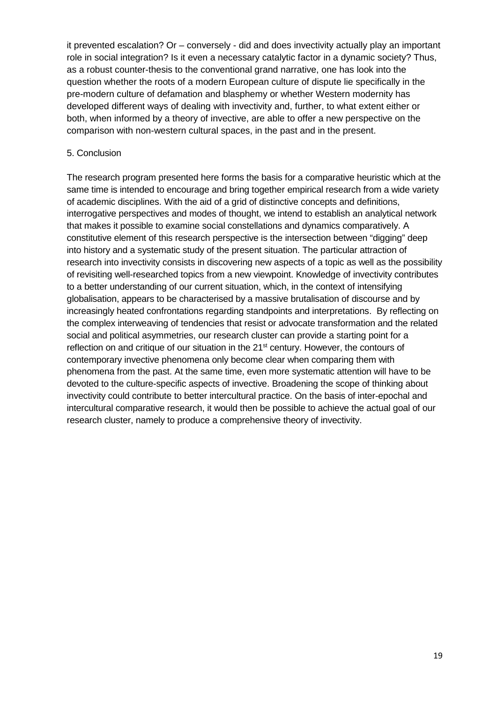it prevented escalation? Or – conversely - did and does invectivity actually play an important role in social integration? Is it even a necessary catalytic factor in a dynamic society? Thus, as a robust counter-thesis to the conventional grand narrative, one has look into the question whether the roots of a modern European culture of dispute lie specifically in the pre-modern culture of defamation and blasphemy or whether Western modernity has developed different ways of dealing with invectivity and, further, to what extent either or both, when informed by a theory of invective, are able to offer a new perspective on the comparison with non-western cultural spaces, in the past and in the present.

### 5. Conclusion

The research program presented here forms the basis for a comparative heuristic which at the same time is intended to encourage and bring together empirical research from a wide variety of academic disciplines. With the aid of a grid of distinctive concepts and definitions, interrogative perspectives and modes of thought, we intend to establish an analytical network that makes it possible to examine social constellations and dynamics comparatively. A constitutive element of this research perspective is the intersection between "digging" deep into history and a systematic study of the present situation. The particular attraction of research into invectivity consists in discovering new aspects of a topic as well as the possibility of revisiting well-researched topics from a new viewpoint. Knowledge of invectivity contributes to a better understanding of our current situation, which, in the context of intensifying globalisation, appears to be characterised by a massive brutalisation of discourse and by increasingly heated confrontations regarding standpoints and interpretations. By reflecting on the complex interweaving of tendencies that resist or advocate transformation and the related social and political asymmetries, our research cluster can provide a starting point for a reflection on and critique of our situation in the 21<sup>st</sup> century. However, the contours of contemporary invective phenomena only become clear when comparing them with phenomena from the past. At the same time, even more systematic attention will have to be devoted to the culture-specific aspects of invective. Broadening the scope of thinking about invectivity could contribute to better intercultural practice. On the basis of inter-epochal and intercultural comparative research, it would then be possible to achieve the actual goal of our research cluster, namely to produce a comprehensive theory of invectivity.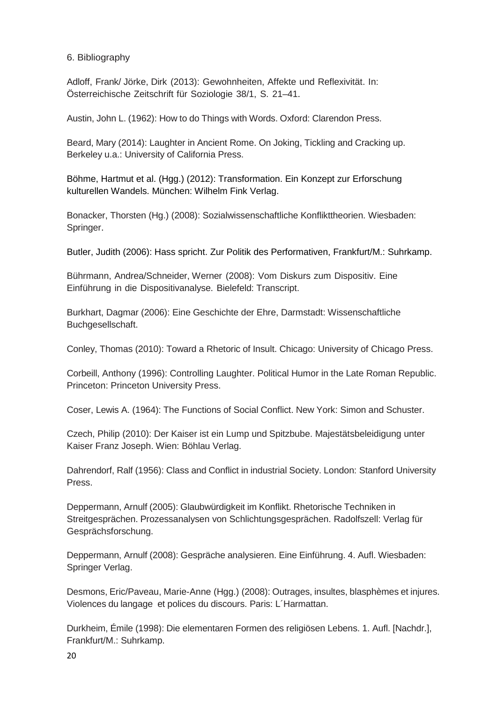6. Bibliography

Adloff, Frank/ Jörke, Dirk (2013): Gewohnheiten, Affekte und Reflexivität. In: Österreichische Zeitschrift für Soziologie 38/1, S. 21–41.

Austin, John L. (1962): How to do Things with Words. Oxford: Clarendon Press.

Beard, Mary (2014): Laughter in Ancient Rome. On Joking, Tickling and Cracking up. Berkeley u.a.: University of California Press.

Böhme, Hartmut et al. (Hgg.) (2012): Transformation. Ein Konzept zur Erforschung kulturellen Wandels. München: Wilhelm Fink Verlag.

Bonacker, Thorsten (Hg.) (2008): Sozialwissenschaftliche Konflikttheorien. Wiesbaden: Springer.

Butler, Judith (2006): Hass spricht. Zur Politik des Performativen, Frankfurt/M.: Suhrkamp.

Bührmann, Andrea/Schneider, Werner (2008): Vom Diskurs zum Dispositiv. Eine Einführung in die Dispositivanalyse. Bielefeld: Transcript.

Burkhart, Dagmar (2006): Eine Geschichte der Ehre, Darmstadt: Wissenschaftliche Buchgesellschaft.

Conley, Thomas (2010): Toward a Rhetoric of Insult. Chicago: University of Chicago Press.

Corbeill, Anthony (1996): Controlling Laughter. Political Humor in the Late Roman Republic. Princeton: Princeton University Press.

Coser, Lewis A. (1964): The Functions of Social Conflict. New York: Simon and Schuster.

Czech, Philip (2010): Der Kaiser ist ein Lump und Spitzbube. Majestätsbeleidigung unter Kaiser Franz Joseph. Wien: Böhlau Verlag.

Dahrendorf, Ralf (1956): Class and Conflict in industrial Society. London: Stanford University Press.

Deppermann, Arnulf (2005): Glaubwürdigkeit im Konflikt. Rhetorische Techniken in Streitgesprächen. Prozessanalysen von Schlichtungsgesprächen. Radolfszell: Verlag für Gesprächsforschung.

Deppermann, Arnulf (2008): Gespräche analysieren. Eine Einführung. 4. Aufl. Wiesbaden: Springer Verlag.

Desmons, Eric/Paveau, Marie-Anne (Hgg.) (2008): Outrages, insultes, blasphèmes et injures. Violences du langage et polices du discours. Paris: L´Harmattan.

Durkheim, Émile (1998): Die elementaren Formen des religiösen Lebens. 1. Aufl. [Nachdr.], Frankfurt/M.: Suhrkamp.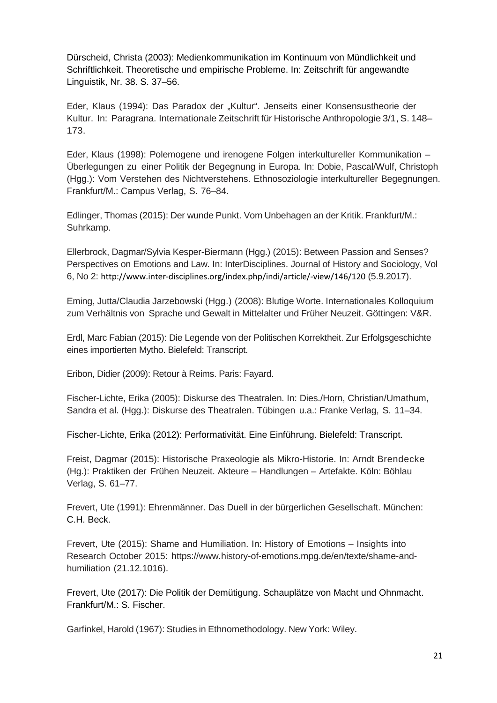Dürscheid, Christa (2003): Medienkommunikation im Kontinuum von Mündlichkeit und Schriftlichkeit. Theoretische und empirische Probleme. In: Zeitschrift für angewandte Linguistik, Nr. 38. S. 37–56.

Eder, Klaus (1994): Das Paradox der "Kultur". Jenseits einer Konsensustheorie der Kultur. In: Paragrana. Internationale Zeitschrift für Historische Anthropologie 3/1, S. 148– 173.

Eder, Klaus (1998): Polemogene und irenogene Folgen interkultureller Kommunikation – Überlegungen zu einer Politik der Begegnung in Europa. In: Dobie, Pascal/Wulf, Christoph (Hgg.): Vom Verstehen des Nichtverstehens. Ethnosoziologie interkultureller Begegnungen. Frankfurt/M.: Campus Verlag, S. 76–84.

Edlinger, Thomas (2015): Der wunde Punkt. Vom Unbehagen an der Kritik. Frankfurt/M.: Suhrkamp.

Ellerbrock, Dagmar/Sylvia Kesper-Biermann (Hgg.) (2015): Between Passion and Senses? Perspectives on Emotions and Law. In: InterDisciplines. Journal of History and Sociology, Vol 6, No 2: http://www.inter-disciplines.org/index.php/indi/article/-view/146/120 (5.9.2017).

Eming, Jutta/Claudia Jarzebowski (Hgg.) (2008): Blutige Worte. Internationales Kolloquium zum Verhältnis von Sprache und Gewalt in Mittelalter und Früher Neuzeit. Göttingen: V&R.

Erdl, Marc Fabian (2015): Die Legende von der Politischen Korrektheit. Zur Erfolgsgeschichte eines importierten Mytho. Bielefeld: Transcript.

Eribon, Didier (2009): Retour à Reims. Paris: Fayard.

Fischer-Lichte, Erika (2005): Diskurse des Theatralen. In: Dies./Horn, Christian/Umathum, Sandra et al. (Hgg.): Diskurse des Theatralen. Tübingen u.a.: Franke Verlag, S. 11–34.

Fischer-Lichte, Erika (2012): Performativität. Eine Einführung. Bielefeld: Transcript.

Freist, Dagmar (2015): Historische Praxeologie als Mikro-Historie. In: Arndt Brendecke (Hg.): Praktiken der Frühen Neuzeit. Akteure – Handlungen – Artefakte. Köln: Böhlau Verlag, S. 61–77.

Frevert, Ute (1991): Ehrenmänner. Das Duell in der bürgerlichen Gesellschaft. München: C.H. Beck.

Frevert, Ute (2015): Shame and Humiliation. In: History of Emotions – Insights into Research October 2015: [https://www.history-of-emotions.mpg.de/en/texte/shame-and](http://www.history-of-emotions.mpg.de/en/texte/shame-and-humiliation)[humiliation](http://www.history-of-emotions.mpg.de/en/texte/shame-and-humiliation) (21.12.1016).

Frevert, Ute (2017): Die Politik der Demütigung. Schauplätze von Macht und Ohnmacht. Frankfurt/M.: S. Fischer.

Garfinkel, Harold (1967): Studies in Ethnomethodology. New York: Wiley.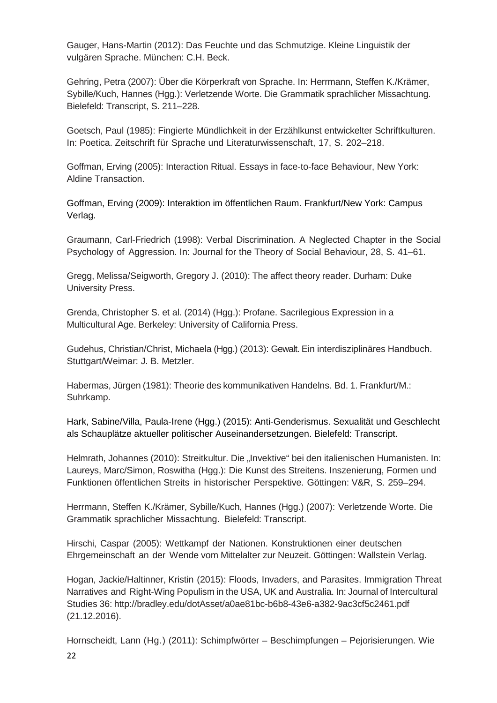Gauger, Hans-Martin (2012): Das Feuchte und das Schmutzige. Kleine Linguistik der vulgären Sprache. München: C.H. Beck.

Gehring, Petra (2007): Über die Körperkraft von Sprache. In: Herrmann, Steffen K./Krämer, Sybille/Kuch, Hannes (Hgg.): Verletzende Worte. Die Grammatik sprachlicher Missachtung. Bielefeld: Transcript, S. 211–228.

Goetsch, Paul (1985): Fingierte Mündlichkeit in der Erzählkunst entwickelter Schriftkulturen. In: Poetica. Zeitschrift für Sprache und Literaturwissenschaft, 17, S. 202–218.

Goffman, Erving (2005): Interaction Ritual. Essays in face-to-face Behaviour, New York: Aldine Transaction.

Goffman, Erving (2009): Interaktion im öffentlichen Raum. Frankfurt/New York: Campus Verlag.

Graumann, Carl-Friedrich (1998): Verbal Discrimination. A Neglected Chapter in the Social Psychology of Aggression. In: Journal for the Theory of Social Behaviour, 28, S. 41–61.

Gregg, Melissa/Seigworth, Gregory J. (2010): The affect theory reader. Durham: Duke University Press.

Grenda, Christopher S. et al. (2014) (Hgg.): Profane. Sacrilegious Expression in a Multicultural Age. Berkeley: University of California Press.

Gudehus, Christian/Christ, Michaela (Hgg.) (2013): Gewalt. Ein interdisziplinäres Handbuch. Stuttgart/Weimar: J. B. Metzler.

Habermas, Jürgen (1981): Theorie des kommunikativen Handelns. Bd. 1. Frankfurt/M.: Suhrkamp.

Hark, Sabine/Villa, Paula-Irene (Hgg.) (2015): Anti-Genderismus. Sexualität und Geschlecht als Schauplätze aktueller politischer Auseinandersetzungen. Bielefeld: Transcript.

Helmrath, Johannes (2010): Streitkultur. Die "Invektive" bei den italienischen Humanisten. In: Laureys, Marc/Simon, Roswitha (Hgg.): Die Kunst des Streitens. Inszenierung, Formen und Funktionen öffentlichen Streits in historischer Perspektive. Göttingen: V&R, S. 259–294.

Herrmann, Steffen K./Krämer, Sybille/Kuch, Hannes (Hgg.) (2007): Verletzende Worte. Die Grammatik sprachlicher Missachtung. Bielefeld: Transcript.

Hirschi, Caspar (2005): Wettkampf der Nationen. Konstruktionen einer deutschen Ehrgemeinschaft an der Wende vom Mittelalter zur Neuzeit. Göttingen: Wallstein Verlag.

Hogan, Jackie/Haltinner, Kristin (2015): Floods, Invaders, and Parasites. Immigration Threat Narratives and Right-Wing Populism in the USA, UK and Australia. In: Journal of Intercultural Studies 36: <http://bradley.edu/dotAsset/a0ae81bc-b6b8-43e6-a382-9ac3cf5c2461.pdf> (21.12.2016).

Hornscheidt, Lann (Hg.) (2011): Schimpfwörter – Beschimpfungen – Pejorisierungen. Wie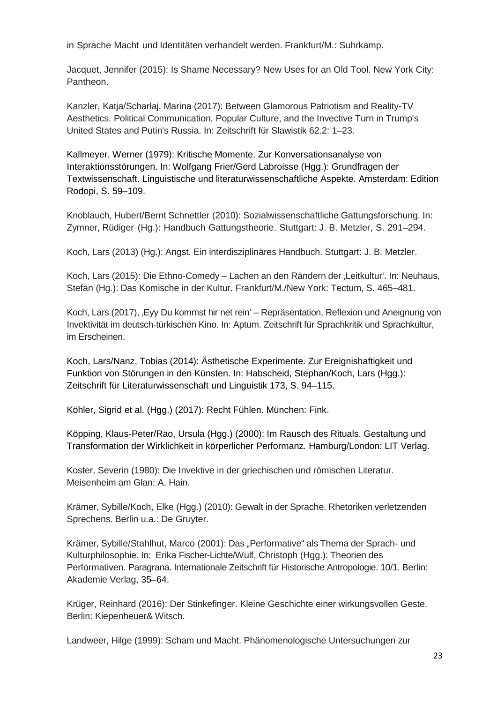in Sprache Macht und Identitäten verhandelt werden. Frankfurt/M.: Suhrkamp.

Jacquet, Jennifer (2015): Is Shame Necessary? New Uses for an Old Tool. New York City: Pantheon.

Kanzler, Katja/Scharlaj, Marina (2017): Between Glamorous Patriotism and Reality-TV Aesthetics. Political Communication, Popular Culture, and the Invective Turn in Trump's United States and Putin's Russia. In: Zeitschrift für Slawistik 62.2: 1–23.

Kallmeyer, Werner (1979): Kritische Momente. Zur Konversationsanalyse von Interaktionsstörungen. In: Wolfgang Frier/Gerd Labroisse (Hgg.): Grundfragen der Textwissenschaft. Linguistische und literaturwissenschaftliche Aspekte. Amsterdam: Edition Rodopi, S. 59–109.

Knoblauch, Hubert/Bernt Schnettler (2010): Sozialwissenschaftliche Gattungsforschung. In: Zymner, Rüdiger (Hg.): Handbuch Gattungstheorie. Stuttgart: J. B. Metzler, S. 291–294.

Koch, Lars (2013) (Hg.): Angst. Ein interdisziplinäres Handbuch. Stuttgart: J. B. Metzler.

Koch, Lars (2015): Die Ethno-Comedy – Lachen an den Rändern der 'Leitkultur'. In: Neuhaus, Stefan (Hg.): Das Komische in der Kultur. Frankfurt/M./New York: Tectum, S. 465–481.

Koch, Lars (2017), , Eyy Du kommst hir net rein' – Repräsentation, Reflexion und Aneignung von Invektivität im deutsch-türkischen Kino. In: Aptum. Zeitschrift für Sprachkritik und Sprachkultur, im Erscheinen.

Koch, Lars/Nanz, Tobias (2014): Ästhetische Experimente. Zur Ereignishaftigkeit und Funktion von Störungen in den Künsten. In: Habscheid, Stephan/Koch, Lars (Hgg.): Zeitschrift für Literaturwissenschaft und Linguistik 173, S. 94–115.

Köhler, Sigrid et al. (Hgg.) (2017): Recht Fühlen. München: Fink.

Köpping, Klaus-Peter/Rao, Ursula (Hgg.) (2000): Im Rausch des Rituals. Gestaltung und Transformation der Wirklichkeit in körperlicher Performanz. Hamburg/London: LIT Verlag.

Koster, Severin (1980): Die Invektive in der griechischen und römischen Literatur. Meisenheim am Glan: A. Hain.

Krämer, Sybille/Koch, Elke (Hgg.) (2010): Gewalt in der Sprache. Rhetoriken verletzenden Sprechens. Berlin u.a.: De Gruyter.

Krämer, Sybille/Stahlhut, Marco (2001): Das "Performative" als Thema der Sprach- und Kulturphilosophie. In: Erika Fischer-Lichte/Wulf, Christoph (Hgg.): Theorien des Performativen. Paragrana. Internationale Zeitschrift für Historische Antropologie. 10/1. Berlin: Akademie Verlag, 35–64.

Krüger, Reinhard (2016): Der Stinkefinger. Kleine Geschichte einer wirkungsvollen Geste. Berlin: Kiepenheuer& Witsch.

Landweer, Hilge (1999): Scham und Macht. Phänomenologische Untersuchungen zur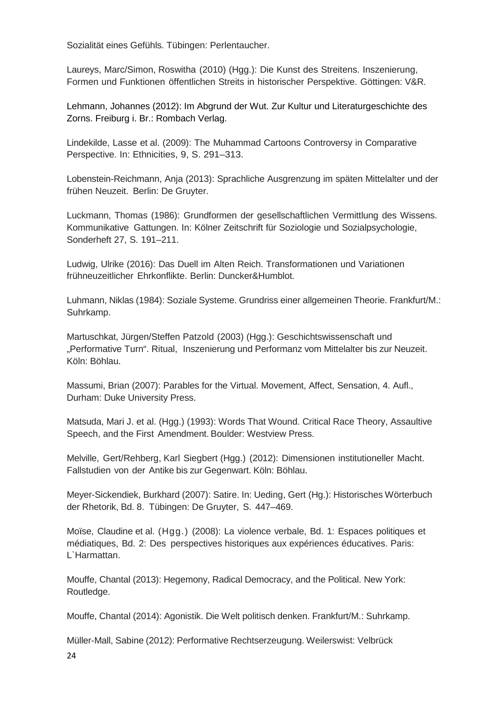Sozialität eines Gefühls. Tübingen: Perlentaucher.

Laureys, Marc/Simon, Roswitha (2010) (Hgg.): Die Kunst des Streitens. Inszenierung, Formen und Funktionen öffentlichen Streits in historischer Perspektive. Göttingen: V&R.

Lehmann, Johannes (2012): Im Abgrund der Wut. Zur Kultur und Literaturgeschichte des Zorns. Freiburg i. Br.: Rombach Verlag.

Lindekilde, Lasse et al. (2009): The Muhammad Cartoons Controversy in Comparative Perspective. In: Ethnicities, 9, S. 291–313.

Lobenstein-Reichmann, Anja (2013): Sprachliche Ausgrenzung im späten Mittelalter und der frühen Neuzeit. Berlin: De Gruyter.

Luckmann, Thomas (1986): Grundformen der gesellschaftlichen Vermittlung des Wissens. Kommunikative Gattungen. In: Kölner Zeitschrift für Soziologie und Sozialpsychologie, Sonderheft 27, S. 191–211.

Ludwig, Ulrike (2016): Das Duell im Alten Reich. Transformationen und Variationen frühneuzeitlicher Ehrkonflikte. Berlin: Duncker&Humblot.

Luhmann, Niklas (1984): Soziale Systeme. Grundriss einer allgemeinen Theorie. Frankfurt/M.: Suhrkamp.

Martuschkat, Jürgen/Steffen Patzold (2003) (Hgg.): Geschichtswissenschaft und "Performative Turn". Ritual, Inszenierung und Performanz vom Mittelalter bis zur Neuzeit. Köln: Böhlau.

Massumi, Brian (2007): Parables for the Virtual. Movement, Affect, Sensation, 4. Aufl., Durham: Duke University Press.

Matsuda, Mari J. et al. (Hgg.) (1993): Words That Wound. Critical Race Theory, Assaultive Speech, and the First Amendment. Boulder: Westview Press.

Melville, Gert/Rehberg, Karl Siegbert (Hgg.) (2012): Dimensionen institutioneller Macht. Fallstudien von der Antike bis zur Gegenwart. Köln: Böhlau.

Meyer-Sickendiek, Burkhard (2007): Satire. In: Ueding, Gert (Hg.): Historisches Wörterbuch der Rhetorik, Bd. 8. Tübingen: De Gruyter, S. 447–469.

Moïse, Claudine et al. (Hgg.) (2008): La violence verbale, Bd. 1: Espaces politiques et médiatiques, Bd. 2: Des perspectives historiques aux expériences éducatives. Paris: L`Harmattan.

Mouffe, Chantal (2013): Hegemony, Radical Democracy, and the Political. New York: Routledge.

Mouffe, Chantal (2014): Agonistik. Die Welt politisch denken. Frankfurt/M.: Suhrkamp.

Müller-Mall, Sabine (2012): Performative Rechtserzeugung. Weilerswist: Velbrück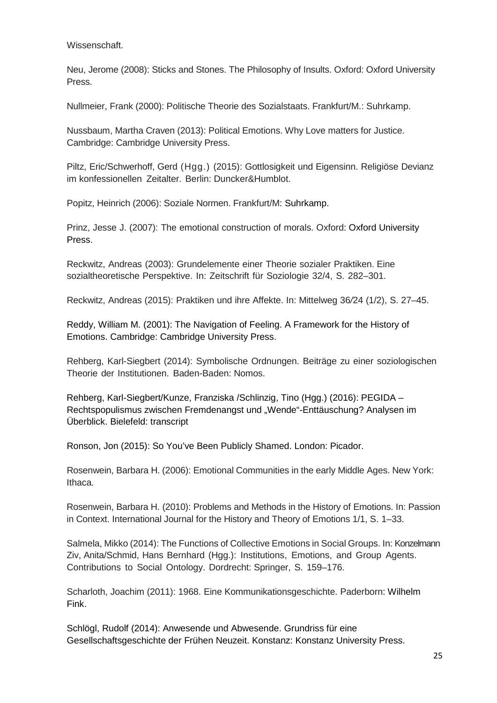Wissenschaft.

Neu, Jerome (2008): Sticks and Stones. The Philosophy of Insults. Oxford: Oxford University Press.

Nullmeier, Frank (2000): Politische Theorie des Sozialstaats. Frankfurt/M.: Suhrkamp.

Nussbaum, Martha Craven (2013): Political Emotions. Why Love matters for Justice. Cambridge: Cambridge University Press.

Piltz, Eric/Schwerhoff, Gerd (Hgg.) (2015): Gottlosigkeit und Eigensinn. Religiöse Devianz im konfessionellen Zeitalter. Berlin: Duncker&Humblot.

Popitz, Heinrich (2006): Soziale Normen. Frankfurt/M: Suhrkamp.

Prinz, Jesse J. (2007): The emotional construction of morals. Oxford: Oxford University Press.

Reckwitz, Andreas (2003): Grundelemente einer Theorie sozialer Praktiken. Eine sozialtheoretische Perspektive. In: Zeitschrift für Soziologie 32/4, S. 282–301.

Reckwitz, Andreas (2015): Praktiken und ihre Affekte. In: Mittelweg 36*/*24 (1/2), S. 27–45.

Reddy, William M. (2001): The Navigation of Feeling. A Framework for the History of Emotions. Cambridge: Cambridge University Press.

Rehberg, Karl-Siegbert (2014): Symbolische Ordnungen. Beiträge zu einer soziologischen Theorie der Institutionen. Baden-Baden: Nomos.

Rehberg, Karl-Siegbert/Kunze, Franziska /Schlinzig, Tino (Hgg.) (2016): PEGIDA – Rechtspopulismus zwischen Fremdenangst und "Wende"-Enttäuschung? Analysen im Überblick. Bielefeld: transcript

Ronson, Jon (2015): So You've Been Publicly Shamed. London: Picador.

Rosenwein, Barbara H. (2006): Emotional Communities in the early Middle Ages. New York: Ithaca.

Rosenwein, Barbara H. (2010): Problems and Methods in the History of Emotions. In: Passion in Context. International Journal for the History and Theory of Emotions 1/1, S. 1–33.

Salmela, Mikko (2014): The Functions of Collective Emotions in Social Groups. In: Konzelmann Ziv, Anita/Schmid, Hans Bernhard (Hgg.): Institutions, Emotions, and Group Agents. Contributions to Social Ontology. Dordrecht: Springer, S. 159–176.

Scharloth, Joachim (2011): 1968. Eine Kommunikationsgeschichte. Paderborn: Wilhelm Fink.

Schlögl, Rudolf (2014): Anwesende und Abwesende. Grundriss für eine Gesellschaftsgeschichte der Frühen Neuzeit. Konstanz: Konstanz University Press.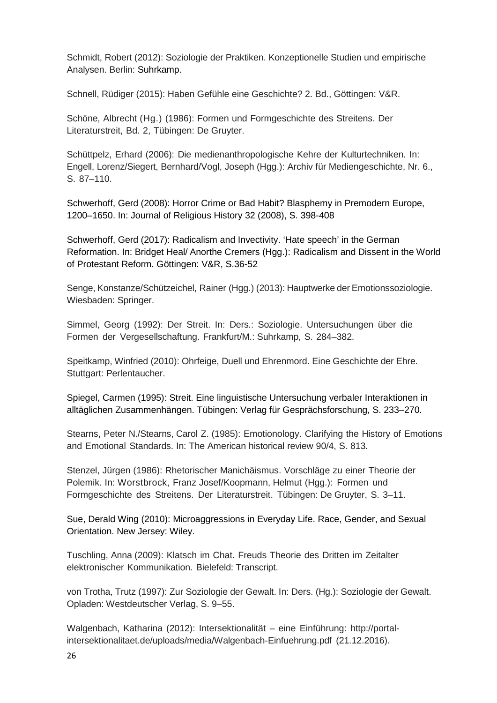Schmidt, Robert (2012): Soziologie der Praktiken. Konzeptionelle Studien und empirische Analysen. Berlin: Suhrkamp.

Schnell, Rüdiger (2015): Haben Gefühle eine Geschichte? 2. Bd., Göttingen: V&R.

Schöne, Albrecht (Hg.) (1986): Formen und Formgeschichte des Streitens. Der Literaturstreit, Bd. 2, Tübingen: De Gruyter.

Schüttpelz, Erhard (2006): Die medienanthropologische Kehre der Kulturtechniken. In: Engell, Lorenz/Siegert, Bernhard/Vogl, Joseph (Hgg.): Archiv für Mediengeschichte, Nr. 6., S. 87–110.

Schwerhoff, Gerd (2008): Horror Crime or Bad Habit? Blasphemy in Premodern Europe, 1200–1650. In: Journal of Religious History 32 (2008), S. 398-408

Schwerhoff, Gerd (2017): Radicalism and Invectivity. 'Hate speech' in the German Reformation. In: Bridget Heal/ Anorthe Cremers (Hgg.): Radicalism and Dissent in the World of Protestant Reform. Göttingen: V&R, S.36-52

Senge, Konstanze/Schützeichel, Rainer (Hgg.) (2013): Hauptwerke der Emotionssoziologie. Wiesbaden: Springer.

Simmel, Georg (1992): Der Streit. In: Ders.: Soziologie. Untersuchungen über die Formen der Vergesellschaftung. Frankfurt/M.: Suhrkamp, S. 284–382.

Speitkamp, Winfried (2010): Ohrfeige, Duell und Ehrenmord. Eine Geschichte der Ehre. Stuttgart: Perlentaucher.

Spiegel, Carmen (1995): Streit. Eine linguistische Untersuchung verbaler Interaktionen in alltäglichen Zusammenhängen. Tübingen: Verlag für Gesprächsforschung, S. 233–270.

Stearns, Peter N./Stearns, Carol Z. (1985): Emotionology. Clarifying the History of Emotions and Emotional Standards. In: The American historical review 90/4, S. 813.

Stenzel, Jürgen (1986): Rhetorischer Manichäismus. Vorschläge zu einer Theorie der Polemik. In: Worstbrock, Franz Josef/Koopmann, Helmut (Hgg.): Formen und Formgeschichte des Streitens. Der Literaturstreit. Tübingen: De Gruyter, S. 3–11.

Sue, Derald Wing (2010): Microaggressions in Everyday Life. Race, Gender, and Sexual Orientation. New Jersey: Wiley.

Tuschling, Anna (2009): Klatsch im Chat. Freuds Theorie des Dritten im Zeitalter elektronischer Kommunikation. Bielefeld: Transcript.

von Trotha, Trutz (1997): Zur Soziologie der Gewalt. In: Ders. (Hg.): Soziologie der Gewalt. Opladen: Westdeutscher Verlag, S. 9–55.

Walgenbach, Katharina (2012): Intersektionalität – eine Einführung: [http://portal](http://portal-/)intersektionalitaet.de/uploads/media/Walgenbach-Einfuehrung.pdf (21.12.2016).